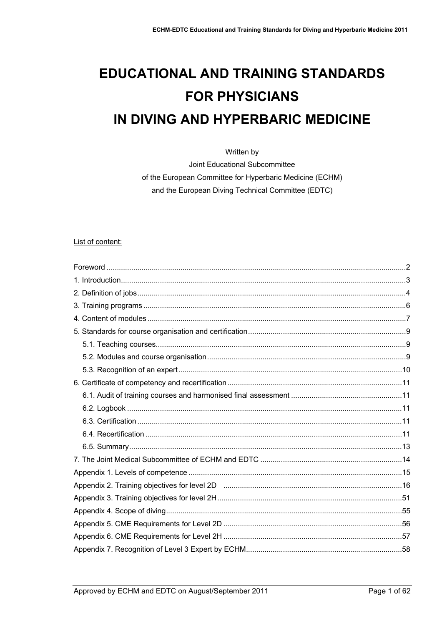# **EDUCATIONAL AND TRAINING STANDARDS FOR PHYSICIANS** IN DIVING AND HYPERBARIC MEDICINE

Written by

Joint Educational Subcommittee of the European Committee for Hyperbaric Medicine (ECHM) and the European Diving Technical Committee (EDTC)

## List of content: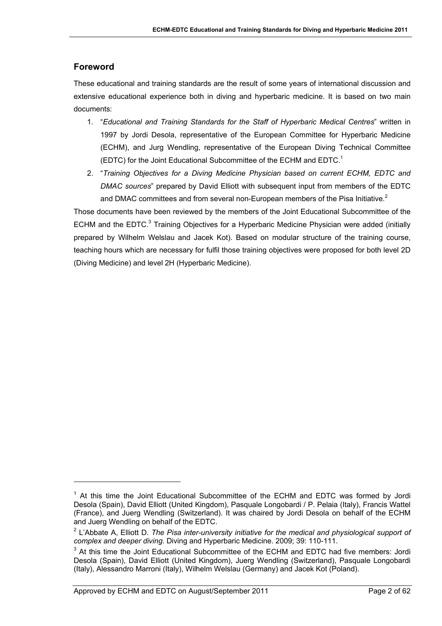# <span id="page-1-0"></span>**Foreword**

l

These educational and training standards are the result of some years of international discussion and extensive educational experience both in diving and hyperbaric medicine. It is based on two main documents:

- 1. "*Educational and Training Standards for the Staff of Hyperbaric Medical Centres*" written in 1997 by Jordi Desola, representative of the European Committee for Hyperbaric Medicine (ECHM), and Jurg Wendling, representative of the European Diving Technical Committee (EDTC) for the Joint Educational Subcommittee of the ECHM and  $EDTC<sup>1</sup>$
- 2. "*Training Objectives for a Diving Medicine Physician based on current ECHM, EDTC and DMAC sources*" prepared by David Elliott with subsequent input from members of the EDTC and DMAC committees and from several non-European members of the Pisa Initiative.<sup>[2](#page-1-2)</sup>

Those documents have been reviewed by the members of the Joint Educational Subcommittee of the ECHM and the EDTC.<sup>[3](#page-1-3)</sup> Training Objectives for a Hyperbaric Medicine Physician were added (initially prepared by Wilhelm Welslau and Jacek Kot). Based on modular structure of the training course, teaching hours which are necessary for fulfil those training objectives were proposed for both level 2D (Diving Medicine) and level 2H (Hyperbaric Medicine).

<span id="page-1-1"></span><sup>&</sup>lt;sup>1</sup> At this time the Joint Educational Subcommittee of the ECHM and EDTC was formed by Jordi Desola (Spain), David Elliott (United Kingdom), Pasquale Longobardi / P. Pelaia (Italy), Francis Wattel (France), and Juerg Wendling (Switzerland). It was chaired by Jordi Desola on behalf of the ECHM and Juerg Wendling on behalf of the EDTC.

<span id="page-1-2"></span><sup>2</sup> L'Abbate A, Elliott D. *The Pisa inter-university initiative for the medical and physiological support of complex and deeper diving*. Diving and Hyperbaric Medicine. 2009; 39: 110-111.

<span id="page-1-3"></span><sup>&</sup>lt;sup>3</sup> At this time the Joint Educational Subcommittee of the ECHM and EDTC had five members: Jordi Desola (Spain), David Elliott (United Kingdom), Juerg Wendling (Switzerland), Pasquale Longobardi (Italy), Alessandro Marroni (Italy), Wilhelm Welslau (Germany) and Jacek Kot (Poland).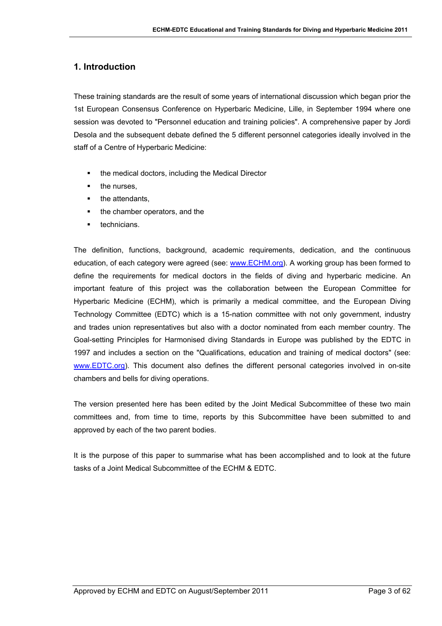## <span id="page-2-0"></span>**1. Introduction**

These training standards are the result of some years of international discussion which began prior the 1st European Consensus Conference on Hyperbaric Medicine, Lille, in September 1994 where one session was devoted to "Personnel education and training policies". A comprehensive paper by Jordi Desola and the subsequent debate defined the 5 different personnel categories ideally involved in the staff of a Centre of Hyperbaric Medicine:

- the medical doctors, including the Medical Director
- the nurses,
- the attendants,
- the chamber operators, and the
- technicians.

The definition, functions, background, academic requirements, dedication, and the continuous education, of each category were agreed (see: [www.ECHM.org\)](http://www.echm.org/). A working group has been formed to define the requirements for medical doctors in the fields of diving and hyperbaric medicine. An important feature of this project was the collaboration between the European Committee for Hyperbaric Medicine (ECHM), which is primarily a medical committee, and the European Diving Technology Committee (EDTC) which is a 15-nation committee with not only government, industry and trades union representatives but also with a doctor nominated from each member country. The Goal-setting Principles for Harmonised diving Standards in Europe was published by the EDTC in 1997 and includes a section on the "Qualifications, education and training of medical doctors" (see: [www.EDTC.org](http://www.edtc.org/)). This document also defines the different personal categories involved in on-site chambers and bells for diving operations.

The version presented here has been edited by the Joint Medical Subcommittee of these two main committees and, from time to time, reports by this Subcommittee have been submitted to and approved by each of the two parent bodies.

It is the purpose of this paper to summarise what has been accomplished and to look at the future tasks of a Joint Medical Subcommittee of the ECHM & EDTC.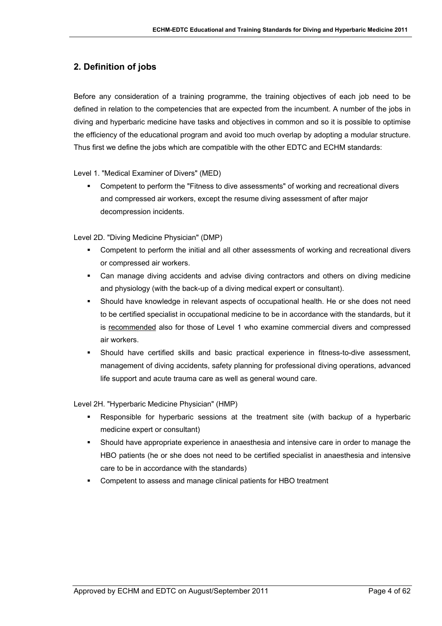# <span id="page-3-0"></span>**2. Definition of jobs**

Before any consideration of a training programme, the training objectives of each job need to be defined in relation to the competencies that are expected from the incumbent. A number of the jobs in diving and hyperbaric medicine have tasks and objectives in common and so it is possible to optimise the efficiency of the educational program and avoid too much overlap by adopting a modular structure. Thus first we define the jobs which are compatible with the other EDTC and ECHM standards:

Level 1. "Medical Examiner of Divers" (MED)

 Competent to perform the "Fitness to dive assessments" of working and recreational divers and compressed air workers, except the resume diving assessment of after major decompression incidents.

Level 2D. "Diving Medicine Physician" (DMP)

- Competent to perform the initial and all other assessments of working and recreational divers or compressed air workers.
- Can manage diving accidents and advise diving contractors and others on diving medicine and physiology (with the back-up of a diving medical expert or consultant).
- Should have knowledge in relevant aspects of occupational health. He or she does not need to be certified specialist in occupational medicine to be in accordance with the standards, but it is recommended also for those of Level 1 who examine commercial divers and compressed air workers.
- Should have certified skills and basic practical experience in fitness-to-dive assessment, management of diving accidents, safety planning for professional diving operations, advanced life support and acute trauma care as well as general wound care.

Level 2H. "Hyperbaric Medicine Physician" (HMP)

- Responsible for hyperbaric sessions at the treatment site (with backup of a hyperbaric medicine expert or consultant)
- Should have appropriate experience in anaesthesia and intensive care in order to manage the HBO patients (he or she does not need to be certified specialist in anaesthesia and intensive care to be in accordance with the standards)
- Competent to assess and manage clinical patients for HBO treatment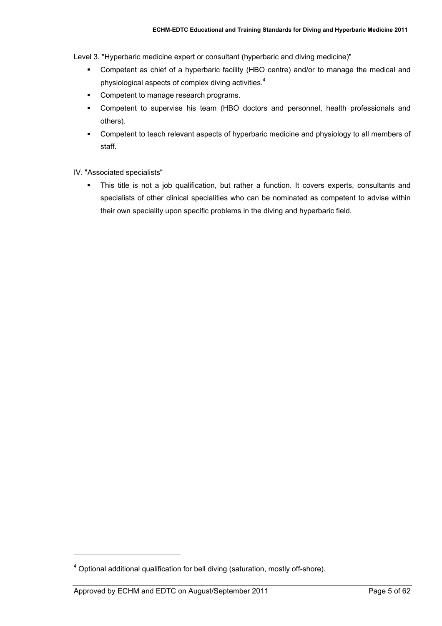Level 3. "Hyperbaric medicine expert or consultant (hyperbaric and diving medicine)"

- Competent as chief of a hyperbaric facility (HBO centre) and/or to manage the medical and physiological aspects of complex diving activities.<sup>[4](#page-4-0)</sup>
- Competent to manage research programs.
- Competent to supervise his team (HBO doctors and personnel, health professionals and others).
- Competent to teach relevant aspects of hyperbaric medicine and physiology to all members of staff.
- IV. "Associated specialists"
	- This title is not a job qualification, but rather a function. It covers experts, consultants and specialists of other clinical specialities who can be nominated as competent to advise within their own speciality upon specific problems in the diving and hyperbaric field.

l

<span id="page-4-0"></span> $4$  Optional additional qualification for bell diving (saturation, mostly off-shore).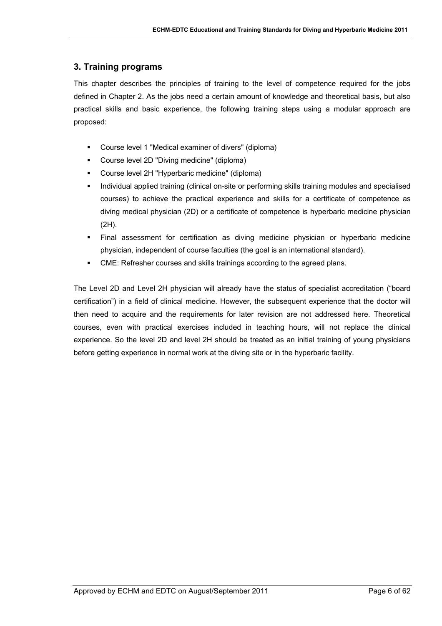# <span id="page-5-0"></span>**3. Training programs**

This chapter describes the principles of training to the level of competence required for the jobs defined in Chapter 2. As the jobs need a certain amount of knowledge and theoretical basis, but also practical skills and basic experience, the following training steps using a modular approach are proposed:

- Course level 1 "Medical examiner of divers" (diploma)
- Course level 2D "Diving medicine" (diploma)
- Course level 2H "Hyperbaric medicine" (diploma)
- Individual applied training (clinical on-site or performing skills training modules and specialised courses) to achieve the practical experience and skills for a certificate of competence as diving medical physician (2D) or a certificate of competence is hyperbaric medicine physician (2H).
- Final assessment for certification as diving medicine physician or hyperbaric medicine physician, independent of course faculties (the goal is an international standard).
- CME: Refresher courses and skills trainings according to the agreed plans.

The Level 2D and Level 2H physician will already have the status of specialist accreditation ("board certification") in a field of clinical medicine. However, the subsequent experience that the doctor will then need to acquire and the requirements for later revision are not addressed here. Theoretical courses, even with practical exercises included in teaching hours, will not replace the clinical experience. So the level 2D and level 2H should be treated as an initial training of young physicians before getting experience in normal work at the diving site or in the hyperbaric facility.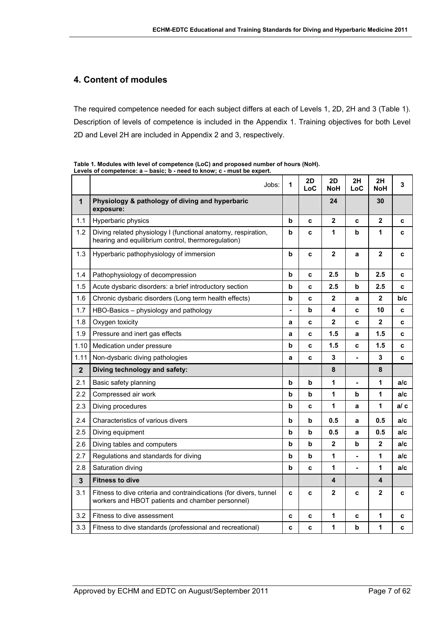## <span id="page-6-0"></span>**4. Content of modules**

The required competence needed for each subject differs at each of Levels 1, 2D, 2H and 3 [\(Table 1\)](#page-6-1). Description of levels of competence is included in the Appendix 1. Training objectives for both Level 2D and Level 2H are included in Appendix 2 and 3, respectively.

|                | Jobs:                                                                                                                  | 1              | 2D<br>LoC | 2D<br>NoH    | 2H<br>LoC                | 2H<br>NoH               | 3    |
|----------------|------------------------------------------------------------------------------------------------------------------------|----------------|-----------|--------------|--------------------------|-------------------------|------|
| $\mathbf{1}$   | Physiology & pathology of diving and hyperbaric<br>exposure:                                                           |                |           | 24           |                          | 30                      |      |
| 1.1            | Hyperbaric physics                                                                                                     | b              | c         | $\mathbf{2}$ | c                        | $\overline{\mathbf{2}}$ | c    |
| 1.2            | Diving related physiology I (functional anatomy, respiration,<br>hearing and equilibrium control, thermoregulation)    | b              | C         | 1            | b                        | 1                       | C    |
| 1.3            | Hyperbaric pathophysiology of immersion                                                                                | b              | C         | $\mathbf{2}$ | a                        | $\mathbf{2}$            | c    |
| 1.4            | Pathophysiology of decompression                                                                                       | b              | C         | 2.5          | b                        | 2.5                     | c    |
| 1.5            | Acute dysbaric disorders: a brief introductory section                                                                 | b              | C         | 2.5          | b                        | 2.5                     | c    |
| 1.6            | Chronic dysbaric disorders (Long term health effects)                                                                  | b              | C         | $\mathbf{2}$ | a                        | $\mathbf 2$             | b/c  |
| 1.7            | HBO-Basics - physiology and pathology                                                                                  | $\blacksquare$ | b         | 4            | C                        | 10                      | c    |
| 1.8            | Oxygen toxicity                                                                                                        | a              | C         | $\mathbf{2}$ | C                        | $\mathbf{2}$            | c    |
| 1.9            | Pressure and inert gas effects                                                                                         | a              | c         | 1.5          | a                        | 1.5                     | c    |
| 1.10           | Medication under pressure                                                                                              | b              | C         | 1.5          | c                        | 1.5                     | c    |
| 1.11           | Non-dysbaric diving pathologies                                                                                        | a              | C         | $\mathbf{3}$ | $\overline{\phantom{a}}$ | 3                       | C    |
| $\overline{2}$ | Diving technology and safety:                                                                                          |                |           | 8            |                          | 8                       |      |
| 2.1            | Basic safety planning                                                                                                  | b              | b         | 1            | ä,                       | 1                       | a/c  |
| 2.2            | Compressed air work                                                                                                    | b              | b         | 1            | b                        | 1                       | a/c  |
| 2.3            | Diving procedures                                                                                                      | b              | C         | 1            | a                        | 1                       | a/ c |
| 2.4            | Characteristics of various divers                                                                                      | b              | b         | 0.5          | a                        | 0.5                     | a/c  |
| 2.5            | Diving equipment                                                                                                       | b              | b         | 0.5          | a                        | 0.5                     | a/c  |
| 2.6            | Diving tables and computers                                                                                            | b              | b         | $\mathbf{2}$ | b                        | $\mathbf 2$             | a/c  |
| 2.7            | Regulations and standards for diving                                                                                   | b              | b         | 1            |                          | 1                       | a/c  |
| 2.8            | Saturation diving                                                                                                      | b              | C         | 1            | ÷,                       | 1                       | a/c  |
| $\mathbf{3}$   | <b>Fitness to dive</b>                                                                                                 |                |           | 4            |                          | 4                       |      |
| 3.1            | Fitness to dive criteria and contraindications (for divers, tunnel<br>workers and HBOT patients and chamber personnel) | C              | C         | $\mathbf{2}$ | C                        | $\mathbf 2$             | C    |
| 3.2            | Fitness to dive assessment                                                                                             | C              | C         | 1            | C                        | 1                       | c    |
| 3.3            | Fitness to dive standards (professional and recreational)                                                              | C              | C         | 1            | b                        | 1                       | c    |

<span id="page-6-1"></span>**Table 1. Modules with level of competence (LoC) and proposed number of hours (NoH).**  Levels of competence:  $a - basic$ ;  $b - need to know$ ;  $c - must be expert$ .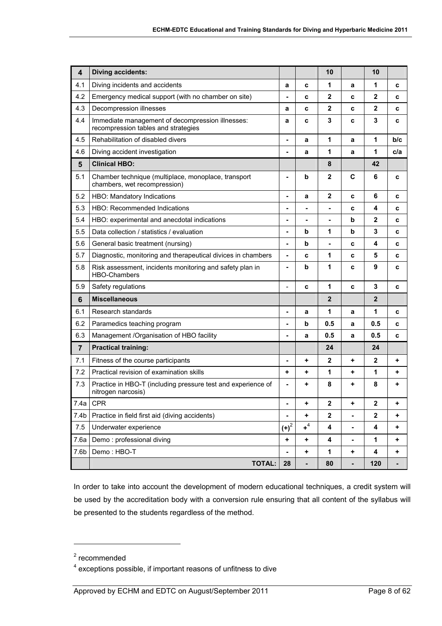| $\overline{\mathbf{4}}$ | <b>Diving accidents:</b>                                                                |                              |             | 10             |   | 10             |     |
|-------------------------|-----------------------------------------------------------------------------------------|------------------------------|-------------|----------------|---|----------------|-----|
| 4.1                     | Diving incidents and accidents                                                          | a                            | c           | 1              | a | 1              | c   |
| 4.2                     | Emergency medical support (with no chamber on site)                                     | ٠                            | c           | $\mathbf{2}$   | c | $\mathbf{2}$   | c   |
| 4.3                     | Decompression illnesses                                                                 | a                            | C           | $\overline{2}$ | C | $\mathbf{2}$   | C   |
| 4.4                     | Immediate management of decompression illnesses:<br>recompression tables and strategies | a                            | c           | 3              | C | 3              | c   |
| 4.5                     | Rehabilitation of disabled divers                                                       | $\blacksquare$               | a           | 1              | a | 1              | b/c |
| 4.6                     | Diving accident investigation                                                           | $\overline{\phantom{a}}$     | a           | 1              | a | 1              | c/a |
| 5                       | <b>Clinical HBO:</b>                                                                    |                              |             | 8              |   | 42             |     |
| 5.1                     | Chamber technique (multiplace, monoplace, transport<br>chambers, wet recompression)     | ٠                            | $\mathbf b$ | $\mathbf{2}$   | C | 6              | c   |
| 5.2                     | HBO: Mandatory Indications                                                              | ۰                            | a           | $\mathbf{2}$   | C | 6              | c   |
| 5.3                     | <b>HBO: Recommended Indications</b>                                                     |                              | ۰           |                | c | 4              | c   |
| 5.4                     | HBO: experimental and anecdotal indications                                             | ۰                            |             | $\blacksquare$ | b | $\overline{2}$ | C   |
| 5.5                     | Data collection / statistics / evaluation                                               | ٠                            | b           | 1              | b | 3              | c   |
| 5.6                     | General basic treatment (nursing)                                                       |                              | b           |                | c | 4              | c   |
| 5.7                     | Diagnostic, monitoring and therapeutical divices in chambers                            | $\overline{\phantom{a}}$     | C           | 1              | C | 5              | C   |
| 5.8                     | Risk assessment, incidents monitoring and safety plan in<br><b>HBO-Chambers</b>         | $\qquad \qquad \blacksquare$ | b           | 1              | c | 9              | c   |
| 5.9                     | Safety regulations                                                                      | $\overline{a}$               | C           | 1              | C | $\mathbf{3}$   | C   |
| $6\phantom{1}6$         | <b>Miscellaneous</b>                                                                    |                              |             | $\mathbf{2}$   |   | $\mathbf{2}$   |     |
| 6.1                     | Research standards                                                                      | ٠                            | a           | 1              | a | 1              | c   |
| 6.2                     | Paramedics teaching program                                                             |                              | b           | 0.5            | a | 0.5            | c   |
| 6.3                     | Management /Organisation of HBO facility                                                | ٠                            | a           | 0.5            | a | 0.5            | C   |
| $\overline{7}$          | <b>Practical training:</b>                                                              |                              |             | 24             |   | 24             |     |
| 7.1                     | Fitness of the course participants                                                      | ۰                            | ٠           | $\mathbf{2}$   | ٠ | $\mathbf{2}$   | +   |
| 7.2                     | Practical revision of examination skills                                                | ٠                            | ÷           | 1              | ٠ | 1              | ٠   |
| 7.3                     | Practice in HBO-T (including pressure test and experience of<br>nitrogen narcosis)      | $\qquad \qquad \blacksquare$ | ۰           | 8              | ٠ | 8              | ٠   |
| 7.4a                    | <b>CPR</b>                                                                              | ۰                            | ٠           | $\mathbf 2$    | ٠ | $\mathbf 2$    | ٠   |
| 7.4 <sub>b</sub>        | Practice in field first aid (diving accidents)                                          | ٠                            | +           | $\mathbf 2$    | - | $\mathbf 2$    | ٠   |
| 7.5                     | Underwater experience                                                                   | $(+)^2$                      | $+4$        | 4              | - | 4              | ٠   |
| 7.6a                    | Demo: professional diving                                                               | ٠                            | ٠           | 4              | ۰ | 1              | ٠   |
| 7.6 <sub>b</sub>        | Demo: HBO-T                                                                             |                              | ٠           | 1              | ٠ | 4              | ٠   |
|                         | <b>TOTAL:</b>                                                                           | 28                           | ٠           | 80             |   | 120            | ٠   |

In order to take into account the development of modern educational techniques, a credit system will be used by the accreditation body with a conversion rule ensuring that all content of the syllabus will be presented to the students regardless of the method.

 $\overline{a}$ 

<span id="page-7-0"></span><sup>&</sup>lt;sup>2</sup> recommended

<span id="page-7-1"></span> $4$  exceptions possible, if important reasons of unfitness to dive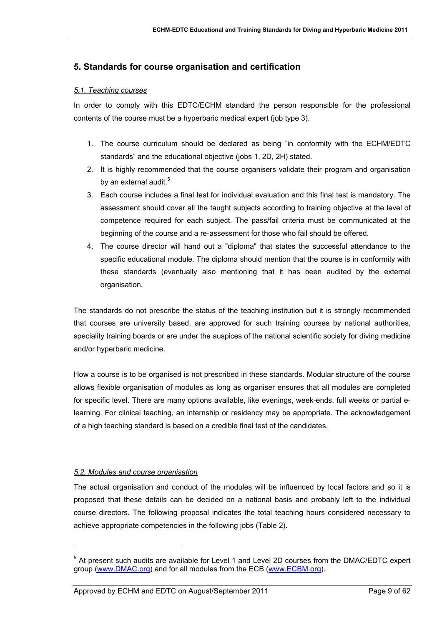## <span id="page-8-0"></span>**5. Standards for course organisation and certification**

#### *5.1. Teaching courses*

In order to comply with this EDTC/ECHM standard the person responsible for the professional contents of the course must be a hyperbaric medical expert (job type 3).

- 1. The course curriculum should be declared as being "in conformity with the ECHM/EDTC standards" and the educational objective (jobs 1, 2D, 2H) stated.
- 2. It is highly recommended that the course organisers validate their program and organisation byan external audit.<sup>5</sup>
- 3. Each course includes a final test for individual evaluation and this final test is mandatory. The assessment should cover all the taught subjects according to training objective at the level of competence required for each subject. The pass/fail criteria must be communicated at the beginning of the course and a re-assessment for those who fail should be offered.
- 4. The course director will hand out a "diploma" that states the successful attendance to the specific educational module. The diploma should mention that the course is in conformity with these standards (eventually also mentioning that it has been audited by the external organisation.

The standards do not prescribe the status of the teaching institution but it is strongly recommended that courses are university based, are approved for such training courses by national authorities, speciality training boards or are under the auspices of the national scientific society for diving medicine and/or hyperbaric medicine.

How a course is to be organised is not prescribed in these standards. Modular structure of the course allows flexible organisation of modules as long as organiser ensures that all modules are completed for specific level. There are many options available, like evenings, week-ends, full weeks or partial elearning. For clinical teaching, an internship or residency may be appropriate. The acknowledgement of a high teaching standard is based on a credible final test of the candidates.

#### *5.2. Modules and course organisation*

 $\overline{a}$ 

The actual organisation and conduct of the modules will be influenced by local factors and so it is proposed that these details can be decided on a national basis and probably left to the individual course directors. The following proposal indicates the total teaching hours considered necessary to achieve appropriate competencies in the following jobs ([Table 2\)](#page-9-1).

<span id="page-8-1"></span><sup>&</sup>lt;sup>5</sup> At present such audits are available for Level 1 and Level 2D courses from the DMAC/EDTC expert group ([www.DMAC.org](http://www.dmac.org/)) and for all modules from the ECB ([www.ECBM.org](http://www.ecbm.org/)).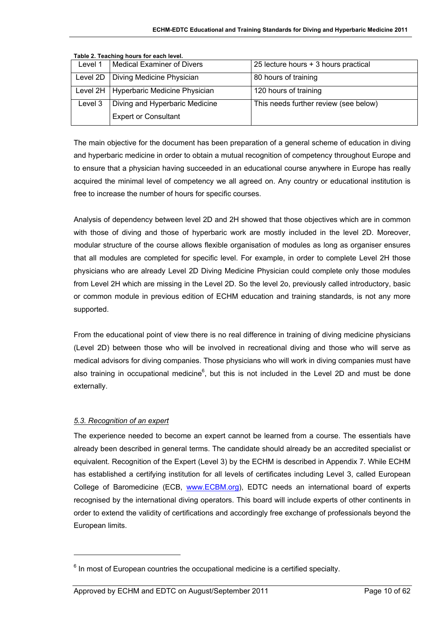| Level 1 | Medical Examiner of Divers               | 25 lecture hours + 3 hours practical  |
|---------|------------------------------------------|---------------------------------------|
|         |                                          |                                       |
|         | Level 2D   Diving Medicine Physician     | 80 hours of training                  |
|         |                                          |                                       |
|         | Level 2H   Hyperbaric Medicine Physician | 120 hours of training                 |
|         |                                          |                                       |
| Level 3 | Diving and Hyperbaric Medicine           | This needs further review (see below) |
|         |                                          |                                       |
|         | <b>Expert or Consultant</b>              |                                       |
|         |                                          |                                       |
|         |                                          |                                       |

<span id="page-9-1"></span><span id="page-9-0"></span>**Table 2. Teaching hours for each level.** 

The main objective for the document has been preparation of a general scheme of education in diving and hyperbaric medicine in order to obtain a mutual recognition of competency throughout Europe and to ensure that a physician having succeeded in an educational course anywhere in Europe has really acquired the minimal level of competency we all agreed on. Any country or educational institution is free to increase the number of hours for specific courses.

Analysis of dependency between level 2D and 2H showed that those objectives which are in common with those of diving and those of hyperbaric work are mostly included in the level 2D. Moreover, modular structure of the course allows flexible organisation of modules as long as organiser ensures that all modules are completed for specific level. For example, in order to complete Level 2H those physicians who are already Level 2D Diving Medicine Physician could complete only those modules from Level 2H which are missing in the Level 2D. So the level 2o, previously called introductory, basic or common module in previous edition of ECHM education and training standards, is not any more supported.

From the educational point of view there is no real difference in training of diving medicine physicians (Level 2D) between those who will be involved in recreational diving and those who will serve as medical advisors for diving companies. Those physicians who will work in diving companies must have also training in occupational medicine<sup>[6](#page-9-2)</sup>, but this is not included in the Level 2D and must be done externally.

## *5.3. Recognition of an expert*

l

The experience needed to become an expert cannot be learned from a course. The essentials have already been described in general terms. The candidate should already be an accredited specialist or equivalent. Recognition of the Expert (Level 3) by the ECHM is described in Appendix 7. While ECHM has established a certifying institution for all levels of certificates including Level 3, called European College of Baromedicine (ECB, [www.ECBM.org\)](http://www.ecbm.org/), EDTC needs an international board of experts recognised by the international diving operators. This board will include experts of other continents in order to extend the validity of certifications and accordingly free exchange of professionals beyond the European limits.

<span id="page-9-2"></span> $<sup>6</sup>$  In most of European countries the occupational medicine is a certified specialty.</sup>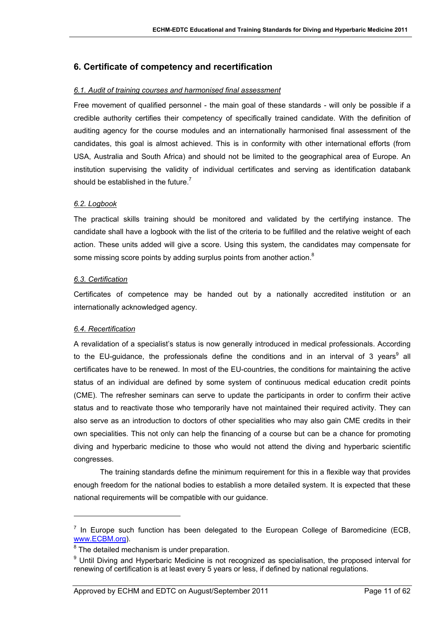## <span id="page-10-0"></span>**6. Certificate of competency and recertification**

## *6.1. Audit of training courses and harmonised final assessment*

Free movement of qualified personnel - the main goal of these standards - will only be possible if a credible authority certifies their competency of specifically trained candidate. With the definition of auditing agency for the course modules and an internationally harmonised final assessment of the candidates, this goal is almost achieved. This is in conformity with other international efforts (from USA, Australia and South Africa) and should not be limited to the geographical area of Europe. An institution supervising the validity of individual certificates and serving as identification databank should be established in the future.<sup>7</sup>

## *6.2. Logbook*

The practical skills training should be monitored and validated by the certifying instance. The candidate shall have a logbook with the list of the criteria to be fulfilled and the relative weight of each action. These units added will give a score. Using this system, the candidates may compensate for some missing score points by adding surplus points from another action. $8$ 

## *6.3. Certification*

Certificates of competence may be handed out by a nationally accredited institution or an internationally acknowledged agency.

#### *6.4. Recertification*

 $\overline{a}$ 

A revalidation of a specialist's status is now generally introduced in medical professionals. According to the EU-guidance, the professionals define the conditions and in an interval of 3 years<sup>9</sup> all certificates have to be renewed. In most of the EU-countries, the conditions for maintaining the active status of an individual are defined by some system of continuous medical education credit points (CME). The refresher seminars can serve to update the participants in order to confirm their active status and to reactivate those who temporarily have not maintained their required activity. They can also serve as an introduction to doctors of other specialities who may also gain CME credits in their own specialities. This not only can help the financing of a course but can be a chance for promoting diving and hyperbaric medicine to those who would not attend the diving and hyperbaric scientific congresses.

The training standards define the minimum requirement for this in a flexible way that provides enough freedom for the national bodies to establish a more detailed system. It is expected that these national requirements will be compatible with our guidance.

<span id="page-10-1"></span> $<sup>7</sup>$  In Europe such function has been delegated to the European College of Baromedicine (ECB,</sup> [www.ECBM.org\)](http://www.ecbm.org/).

<span id="page-10-2"></span> $8$  The detailed mechanism is under preparation.

<span id="page-10-3"></span><sup>&</sup>lt;sup>9</sup> Until Diving and Hyperbaric Medicine is not recognized as specialisation, the proposed interval for renewing of certification is at least every 5 years or less, if defined by national regulations.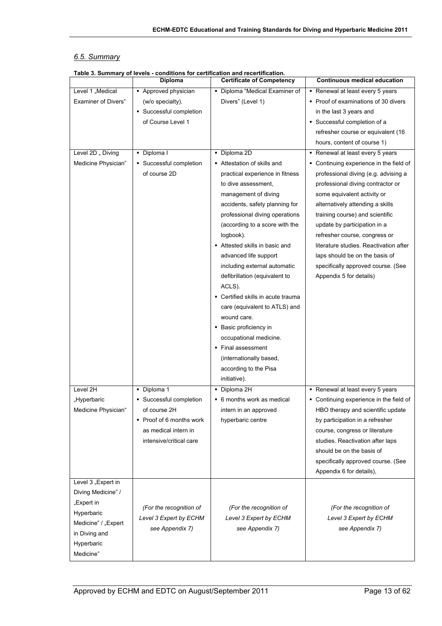## <span id="page-12-0"></span>*6.5. Summary*

|                            | rable J. Julillialy Of levels - conditions for certification and recentrication.<br>Diploma | <b>Certificate of Competency</b>   | <b>Continuous medical education</b>     |
|----------------------------|---------------------------------------------------------------------------------------------|------------------------------------|-----------------------------------------|
| Level 1 "Medical           | - Approved physician                                                                        | • Diploma "Medical Examiner of     | - Renewal at least every 5 years        |
|                            |                                                                                             |                                    |                                         |
| <b>Examiner of Divers"</b> | (w/o specialty).                                                                            | Divers" (Level 1)                  | • Proof of examinations of 30 divers    |
|                            | • Successful completion                                                                     |                                    | in the last 3 years and                 |
|                            | of Course Level 1                                                                           |                                    | · Successful completion of a            |
|                            |                                                                                             |                                    | refresher course or equivalent (16      |
|                            |                                                                                             |                                    | hours, content of course 1)             |
| Level 2D " Diving          | • Diploma I                                                                                 | · Diploma 2D                       | - Renewal at least every 5 years        |
| Medicine Physician"        | • Successful completion                                                                     | Attestation of skills and          | • Continuing experience in the field of |
|                            | of course 2D                                                                                | practical experience in fitness    | professional diving (e.g. advising a    |
|                            |                                                                                             | to dive assessment,                | professional diving contractor or       |
|                            |                                                                                             | management of diving               | some equivalent activity or             |
|                            |                                                                                             | accidents, safety planning for     | alternatively attending a skills        |
|                            |                                                                                             | professional diving operations     | training course) and scientific         |
|                            |                                                                                             | (according to a score with the     | update by participation in a            |
|                            |                                                                                             | logbook).                          | refresher course, congress or           |
|                            |                                                                                             | Attested skills in basic and       | literature studies. Reactivation after  |
|                            |                                                                                             | advanced life support              | laps should be on the basis of          |
|                            |                                                                                             | including external automatic       | specifically approved course. (See      |
|                            |                                                                                             | defibrillation (equivalent to      | Appendix 5 for details)                 |
|                            |                                                                                             | ACLS).                             |                                         |
|                            |                                                                                             | • Certified skills in acute trauma |                                         |
|                            |                                                                                             | care (equivalent to ATLS) and      |                                         |
|                            |                                                                                             | wound care.                        |                                         |
|                            |                                                                                             | • Basic proficiency in             |                                         |
|                            |                                                                                             | occupational medicine.             |                                         |
|                            |                                                                                             | • Final assessment                 |                                         |
|                            |                                                                                             | (internationally based,            |                                         |
|                            |                                                                                             | according to the Pisa              |                                         |
|                            |                                                                                             |                                    |                                         |
|                            |                                                                                             | initiative).                       |                                         |
| Level 2H                   | • Diploma 1                                                                                 | • Diploma 2H                       | Renewal at least every 5 years          |
| "Hyperbaric                | Successful completion                                                                       | • 6 months work as medical         | • Continuing experience in the field of |
| Medicine Physician"        | of course 2H                                                                                | intern in an approved              | HBO therapy and scientific update       |
|                            | • Proof of 6 months work                                                                    | hyperbaric centre                  | by participation in a refresher         |
|                            | as medical intern in                                                                        |                                    | course, congress or literature          |
|                            | intensive/critical care                                                                     |                                    | studies. Reactivation after laps        |
|                            |                                                                                             |                                    | should be on the basis of               |
|                            |                                                                                             |                                    | specifically approved course. (See      |
|                            |                                                                                             |                                    | Appendix 6 for details),                |
| Level 3 "Expert in         |                                                                                             |                                    |                                         |
| Diving Medicine" /         |                                                                                             |                                    |                                         |
| "Expert in                 |                                                                                             |                                    |                                         |
| Hyperbaric                 | (For the recognition of                                                                     | (For the recognition of            | (For the recognition of                 |
| Medicine" / "Expert        | Level 3 Expert by ECHM                                                                      | Level 3 Expert by ECHM             | Level 3 Expert by ECHM                  |
| in Diving and              | see Appendix 7)                                                                             | see Appendix 7)                    | see Appendix 7)                         |
| Hyperbaric                 |                                                                                             |                                    |                                         |
| Medicine"                  |                                                                                             |                                    |                                         |

#### **Table 3. Summary of levels - conditions for certification and recertification.**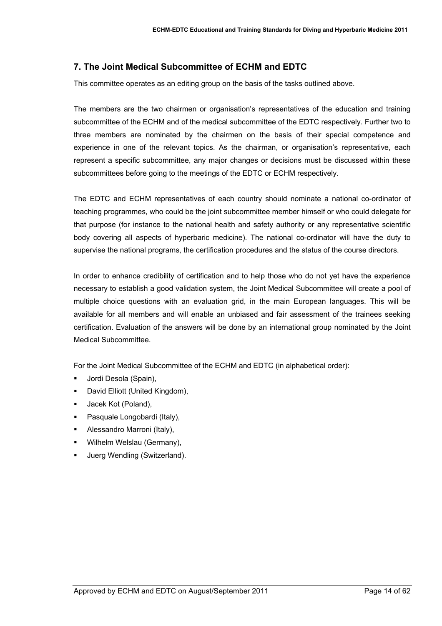# <span id="page-13-0"></span>**7. The Joint Medical Subcommittee of ECHM and EDTC**

This committee operates as an editing group on the basis of the tasks outlined above.

The members are the two chairmen or organisation's representatives of the education and training subcommittee of the ECHM and of the medical subcommittee of the EDTC respectively. Further two to three members are nominated by the chairmen on the basis of their special competence and experience in one of the relevant topics. As the chairman, or organisation's representative, each represent a specific subcommittee, any major changes or decisions must be discussed within these subcommittees before going to the meetings of the EDTC or ECHM respectively.

The EDTC and ECHM representatives of each country should nominate a national co-ordinator of teaching programmes, who could be the joint subcommittee member himself or who could delegate for that purpose (for instance to the national health and safety authority or any representative scientific body covering all aspects of hyperbaric medicine). The national co-ordinator will have the duty to supervise the national programs, the certification procedures and the status of the course directors.

In order to enhance credibility of certification and to help those who do not yet have the experience necessary to establish a good validation system, the Joint Medical Subcommittee will create a pool of multiple choice questions with an evaluation grid, in the main European languages. This will be available for all members and will enable an unbiased and fair assessment of the trainees seeking certification. Evaluation of the answers will be done by an international group nominated by the Joint Medical Subcommittee.

For the Joint Medical Subcommittee of the ECHM and EDTC (in alphabetical order):

- Jordi Desola (Spain),
- David Elliott (United Kingdom),
- Jacek Kot (Poland),
- Pasquale Longobardi (Italy),
- Alessandro Marroni (Italy),
- Wilhelm Welslau (Germany),
- Juerg Wendling (Switzerland).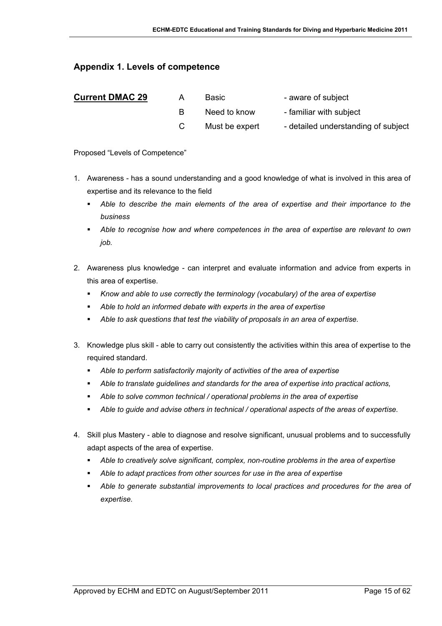## <span id="page-14-0"></span>**Appendix 1. Levels of competence**

| <b>Current DMAC 29</b> | <b>Basic</b>   | - aware of subject                  |
|------------------------|----------------|-------------------------------------|
|                        | Need to know   | - familiar with subject             |
|                        | Must be expert | - detailed understanding of subject |

Proposed "Levels of Competence"

- 1. Awareness has a sound understanding and a good knowledge of what is involved in this area of expertise and its relevance to the field
	- *Able to describe the main elements of the area of expertise and their importance to the business*
	- *Able to recognise how and where competences in the area of expertise are relevant to own job.*
- 2. Awareness plus knowledge can interpret and evaluate information and advice from experts in this area of expertise.
	- *Know and able to use correctly the terminology (vocabulary) of the area of expertise*
	- *Able to hold an informed debate with experts in the area of expertise*
	- *Able to ask questions that test the viability of proposals in an area of expertise.*
- 3. Knowledge plus skill able to carry out consistently the activities within this area of expertise to the required standard.
	- *Able to perform satisfactorily majority of activities of the area of expertise*
	- *Able to translate guidelines and standards for the area of expertise into practical actions,*
	- *Able to solve common technical / operational problems in the area of expertise*
	- *Able to guide and advise others in technical / operational aspects of the areas of expertise.*
- 4. Skill plus Mastery able to diagnose and resolve significant, unusual problems and to successfully adapt aspects of the area of expertise.
	- *Able to creatively solve significant, complex, non-routine problems in the area of expertise*
	- *Able to adapt practices from other sources for use in the area of expertise*
	- *Able to generate substantial improvements to local practices and procedures for the area of expertise.*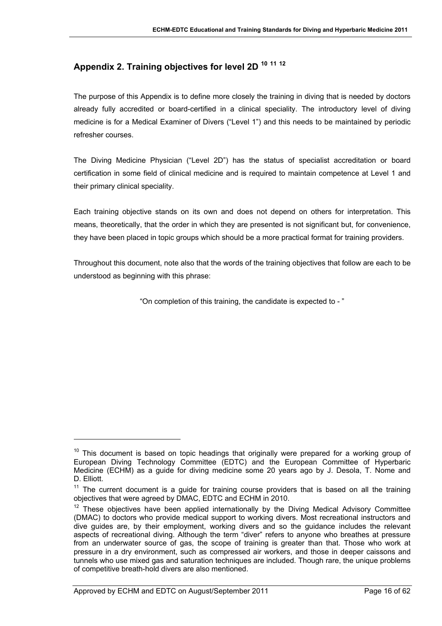# <span id="page-15-0"></span>**Appendix 2. Training objectives for level 2D <sup>10</sup> <sup>11</sup> <sup>12</sup>**

The purpose of this Appendix is to define more closely the training in diving that is needed by doctors already fully accredited or board-certified in a clinical speciality. The introductory level of diving medicine is for a Medical Examiner of Divers ("Level 1") and this needs to be maintained by periodic refresher courses.

The Diving Medicine Physician ("Level 2D") has the status of specialist accreditation or board certification in some field of clinical medicine and is required to maintain competence at Level 1 and their primary clinical speciality.

Each training objective stands on its own and does not depend on others for interpretation. This means, theoretically, that the order in which they are presented is not significant but, for convenience, they have been placed in topic groups which should be a more practical format for training providers.

Throughout this document, note also that the words of the training objectives that follow are each to be understood as beginning with this phrase:

"On completion of this training, the candidate is expected to - "

 $\overline{a}$ 

 $10$  This document is based on topic headings that originally were prepared for a working group of European Diving Technology Committee (EDTC) and the European Committee of Hyperbaric Medicine (ECHM) as a guide for diving medicine some 20 years ago by J. Desola, T. Nome and D. Elliott.

 $11$  The current document is a guide for training course providers that is based on all the training objectives that were agreed by DMAC, EDTC and ECHM in 2010.

 $12$  These obiectives have been applied internationally by the Diving Medical Advisory Committee (DMAC) to doctors who provide medical support to working divers. Most recreational instructors and dive guides are, by their employment, working divers and so the guidance includes the relevant aspects of recreational diving. Although the term "diver" refers to anyone who breathes at pressure from an underwater source of gas, the scope of training is greater than that. Those who work at pressure in a dry environment, such as compressed air workers, and those in deeper caissons and tunnels who use mixed gas and saturation techniques are included. Though rare, the unique problems of competitive breath-hold divers are also mentioned.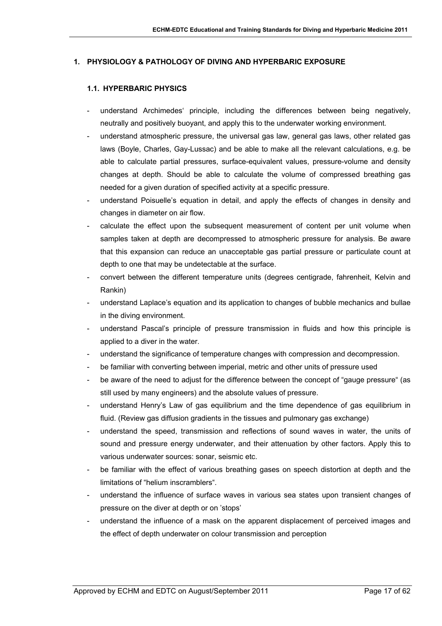## **1. PHYSIOLOGY & PATHOLOGY OF DIVING AND HYPERBARIC EXPOSURE**

### **1.1. HYPERBARIC PHYSICS**

- understand Archimedes' principle, including the differences between being negatively, neutrally and positively buoyant, and apply this to the underwater working environment.
- understand atmospheric pressure, the universal gas law, general gas laws, other related gas laws (Boyle, Charles, Gay-Lussac) and be able to make all the relevant calculations, e.g. be able to calculate partial pressures, surface-equivalent values, pressure-volume and density changes at depth. Should be able to calculate the volume of compressed breathing gas needed for a given duration of specified activity at a specific pressure.
- understand Poisuelle's equation in detail, and apply the effects of changes in density and changes in diameter on air flow.
- calculate the effect upon the subsequent measurement of content per unit volume when samples taken at depth are decompressed to atmospheric pressure for analysis. Be aware that this expansion can reduce an unacceptable gas partial pressure or particulate count at depth to one that may be undetectable at the surface.
- convert between the different temperature units (degrees centigrade, fahrenheit, Kelvin and Rankin)
- understand Laplace's equation and its application to changes of bubble mechanics and bullae in the diving environment.
- understand Pascal's principle of pressure transmission in fluids and how this principle is applied to a diver in the water.
- understand the significance of temperature changes with compression and decompression.
- be familiar with converting between imperial, metric and other units of pressure used
- be aware of the need to adjust for the difference between the concept of "gauge pressure" (as still used by many engineers) and the absolute values of pressure.
- understand Henry's Law of gas equilibrium and the time dependence of gas equilibrium in fluid. (Review gas diffusion gradients in the tissues and pulmonary gas exchange)
- understand the speed, transmission and reflections of sound waves in water, the units of sound and pressure energy underwater, and their attenuation by other factors. Apply this to various underwater sources: sonar, seismic etc.
- be familiar with the effect of various breathing gases on speech distortion at depth and the limitations of "helium inscramblers".
- understand the influence of surface waves in various sea states upon transient changes of pressure on the diver at depth or on 'stops'
- understand the influence of a mask on the apparent displacement of perceived images and the effect of depth underwater on colour transmission and perception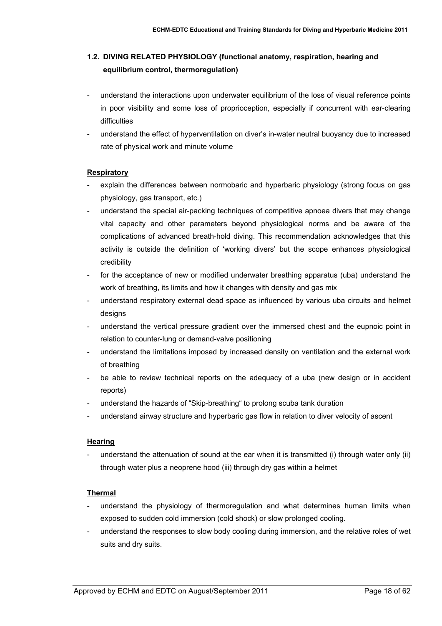# **1.2. DIVING RELATED PHYSIOLOGY (functional anatomy, respiration, hearing and equilibrium control, thermoregulation)**

- understand the interactions upon underwater equilibrium of the loss of visual reference points in poor visibility and some loss of proprioception, especially if concurrent with ear-clearing difficulties
- understand the effect of hyperventilation on diver's in-water neutral buoyancy due to increased rate of physical work and minute volume

## **Respiratory**

- explain the differences between normobaric and hyperbaric physiology (strong focus on gas physiology, gas transport, etc.)
- understand the special air-packing techniques of competitive apnoea divers that may change vital capacity and other parameters beyond physiological norms and be aware of the complications of advanced breath-hold diving. This recommendation acknowledges that this activity is outside the definition of 'working divers' but the scope enhances physiological credibility
- for the acceptance of new or modified underwater breathing apparatus (uba) understand the work of breathing, its limits and how it changes with density and gas mix
- understand respiratory external dead space as influenced by various uba circuits and helmet designs
- understand the vertical pressure gradient over the immersed chest and the eupnoic point in relation to counter-lung or demand-valve positioning
- understand the limitations imposed by increased density on ventilation and the external work of breathing
- be able to review technical reports on the adequacy of a uba (new design or in accident reports)
- understand the hazards of "Skip-breathing" to prolong scuba tank duration
- understand airway structure and hyperbaric gas flow in relation to diver velocity of ascent

#### **Hearing**

- understand the attenuation of sound at the ear when it is transmitted (i) through water only (ii) through water plus a neoprene hood (iii) through dry gas within a helmet

## **Thermal**

- understand the physiology of thermoregulation and what determines human limits when exposed to sudden cold immersion (cold shock) or slow prolonged cooling.
- understand the responses to slow body cooling during immersion, and the relative roles of wet suits and dry suits.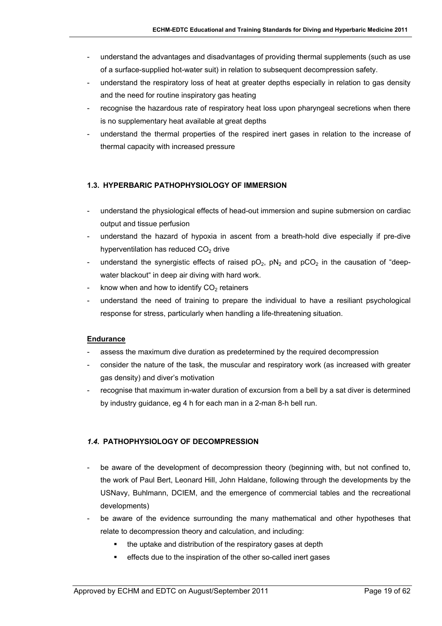- understand the advantages and disadvantages of providing thermal supplements (such as use of a surface-supplied hot-water suit) in relation to subsequent decompression safety.
- understand the respiratory loss of heat at greater depths especially in relation to gas density and the need for routine inspiratory gas heating
- recognise the hazardous rate of respiratory heat loss upon pharyngeal secretions when there is no supplementary heat available at great depths
- understand the thermal properties of the respired inert gases in relation to the increase of thermal capacity with increased pressure

## **1.3. HYPERBARIC PATHOPHYSIOLOGY OF IMMERSION**

- understand the physiological effects of head-out immersion and supine submersion on cardiac output and tissue perfusion
- understand the hazard of hypoxia in ascent from a breath-hold dive especially if pre-dive hyperventilation has reduced  $CO<sub>2</sub>$  drive
- understand the synergistic effects of raised  $pO_2$ ,  $pN_2$  and  $pCO_2$  in the causation of "deepwater blackout" in deep air diving with hard work.
- know when and how to identify  $CO<sub>2</sub>$  retainers
- understand the need of training to prepare the individual to have a resiliant psychological response for stress, particularly when handling a life-threatening situation.

#### **Endurance**

- assess the maximum dive duration as predetermined by the required decompression
- consider the nature of the task, the muscular and respiratory work (as increased with greater gas density) and diver's motivation
- recognise that maximum in-water duration of excursion from a bell by a sat diver is determined by industry guidance, eg 4 h for each man in a 2-man 8-h bell run.

## *1.4.* **PATHOPHYSIOLOGY OF DECOMPRESSION**

- be aware of the development of decompression theory (beginning with, but not confined to, the work of Paul Bert, Leonard Hill, John Haldane, following through the developments by the USNavy, Buhlmann, DCIEM, and the emergence of commercial tables and the recreational developments)
- be aware of the evidence surrounding the many mathematical and other hypotheses that relate to decompression theory and calculation, and including:
	- the uptake and distribution of the respiratory gases at depth
	- **EXECTE EXECTE I** effects due to the inspiration of the other so-called inert gases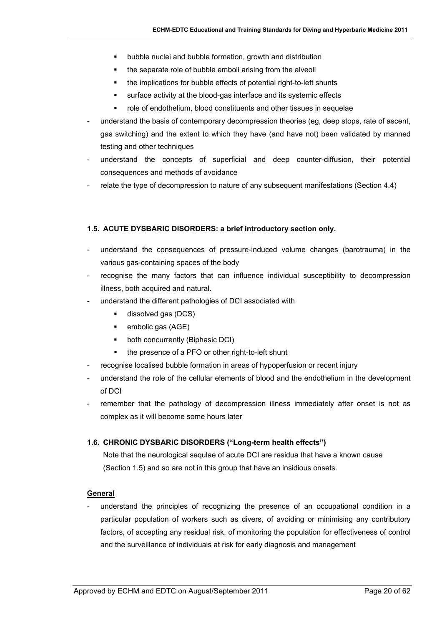- bubble nuclei and bubble formation, growth and distribution
- the separate role of bubble emboli arising from the alveoli
- the implications for bubble effects of potential right-to-left shunts
- surface activity at the blood-gas interface and its systemic effects
- role of endothelium, blood constituents and other tissues in sequelae
- understand the basis of contemporary decompression theories (eg, deep stops, rate of ascent, gas switching) and the extent to which they have (and have not) been validated by manned testing and other techniques
- understand the concepts of superficial and deep counter-diffusion, their potential consequences and methods of avoidance
- relate the type of decompression to nature of any subsequent manifestations (Section 4.4)

## **1.5. ACUTE DYSBARIC DISORDERS: a brief introductory section only.**

- understand the consequences of pressure-induced volume changes (barotrauma) in the various gas-containing spaces of the body
- recognise the many factors that can influence individual susceptibility to decompression illness, both acquired and natural.
- understand the different pathologies of DCI associated with
	- **dissolved gas (DCS)**
	- $\blacksquare$  embolic gas (AGE)
	- **•** both concurrently (Biphasic DCI)
	- the presence of a PFO or other right-to-left shunt
- recognise localised bubble formation in areas of hypoperfusion or recent injury
- understand the role of the cellular elements of blood and the endothelium in the development of DCI
- remember that the pathology of decompression illness immediately after onset is not as complex as it will become some hours later

## **1.6. CHRONIC DYSBARIC DISORDERS ("Long-term health effects")**

Note that the neurological sequlae of acute DCI are residua that have a known cause (Section 1.5) and so are not in this group that have an insidious onsets.

## **General**

understand the principles of recognizing the presence of an occupational condition in a particular population of workers such as divers, of avoiding or minimising any contributory factors, of accepting any residual risk, of monitoring the population for effectiveness of control and the surveillance of individuals at risk for early diagnosis and management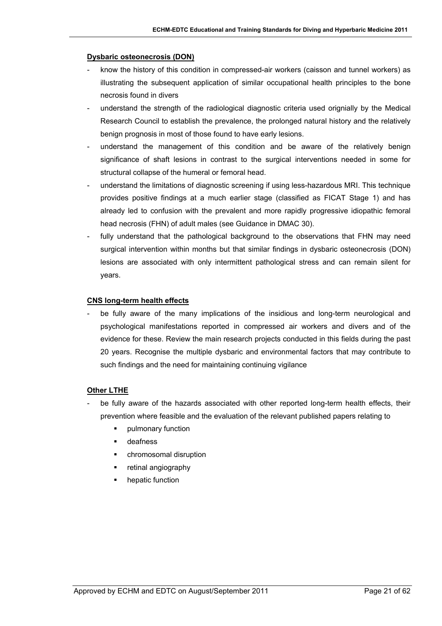#### **Dysbaric osteonecrosis (DON)**

- know the history of this condition in compressed-air workers (caisson and tunnel workers) as illustrating the subsequent application of similar occupational health principles to the bone necrosis found in divers
- understand the strength of the radiological diagnostic criteria used orignially by the Medical Research Council to establish the prevalence, the prolonged natural history and the relatively benign prognosis in most of those found to have early lesions.
- understand the management of this condition and be aware of the relatively benign significance of shaft lesions in contrast to the surgical interventions needed in some for structural collapse of the humeral or femoral head.
- understand the limitations of diagnostic screening if using less-hazardous MRI. This technique provides positive findings at a much earlier stage (classified as FICAT Stage 1) and has already led to confusion with the prevalent and more rapidly progressive idiopathic femoral head necrosis (FHN) of adult males (see Guidance in DMAC 30).
- fully understand that the pathological background to the observations that FHN may need surgical intervention within months but that similar findings in dysbaric osteonecrosis (DON) lesions are associated with only intermittent pathological stress and can remain silent for years.

#### **CNS long-term health effects**

be fully aware of the many implications of the insidious and long-term neurological and psychological manifestations reported in compressed air workers and divers and of the evidence for these. Review the main research projects conducted in this fields during the past 20 years. Recognise the multiple dysbaric and environmental factors that may contribute to such findings and the need for maintaining continuing vigilance

#### **Other LTHE**

- be fully aware of the hazards associated with other reported long-term health effects, their prevention where feasible and the evaluation of the relevant published papers relating to
	- pulmonary function
	- **u** deafness
	- chromosomal disruption
	- **•** retinal angiography
	- hepatic function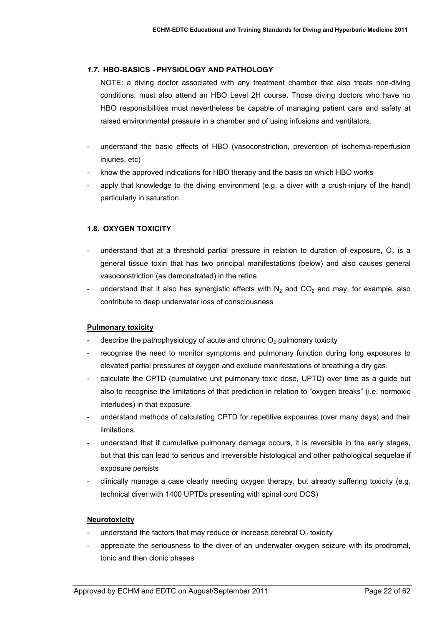## *1.7.* **HBO-BASICS - PHYSIOLOGY AND PATHOLOGY**

NOTE: a diving doctor associated with any treatment chamber that also treats non-diving conditions, must also attend an HBO Level 2H course**.** Those diving doctors who have no HBO responsibilities must nevertheless be capable of managing patient care and safety at raised environmental pressure in a chamber and of using infusions and ventilators.

- understand the basic effects of HBO (vasoconstriction, prevention of ischemia-reperfusion injuries, etc)
- know the approved indications for HBO therapy and the basis on which HBO works
- apply that knowledge to the diving environment (e.g. a diver with a crush-injury of the hand) particularly in saturation.

## **1.8. OXYGEN TOXICITY**

- understand that at a threshold partial pressure in relation to duration of exposure,  $O<sub>2</sub>$  is a general tissue toxin that has two principal manifestations (below) and also causes general vasoconstriction (as demonstrated) in the retina.
- understand that it also has synergistic effects with  $N_2$  and CO<sub>2</sub> and may, for example, also contribute to deep underwater loss of consciousness

#### **Pulmonary toxicity**

- describe the pathophysiology of acute and chronic  $O<sub>2</sub>$  pulmonary toxicity
- recognise the need to monitor symptoms and pulmonary function during long exposures to elevated partial pressures of oxygen and exclude manifestations of breathing a dry gas.
- calculate the CPTD (cumulative unit pulmonary toxic dose, UPTD) over time as a guide but also to recognise the limitations of that prediction in relation to "oxygen breaks" (i.e. normoxic interludes) in that exposure.
- understand methods of calculating CPTD for repetitive exposures (over many days) and their limitations.
- understand that if cumulative pulmonary damage occurs, it is reversible in the early stages, but that this can lead to serious and irreversible histological and other pathological sequelae if exposure persists
- clinically manage a case clearly needing oxygen therapy, but already suffering toxicity (e.g. technical diver with 1400 UPTDs presenting with spinal cord DCS)

#### **Neurotoxicity**

- understand the factors that may reduce or increase cerebral  $O<sub>2</sub>$  toxicity
- appreciate the seriousness to the diver of an underwater oxygen seizure with its prodromal, tonic and then clonic phases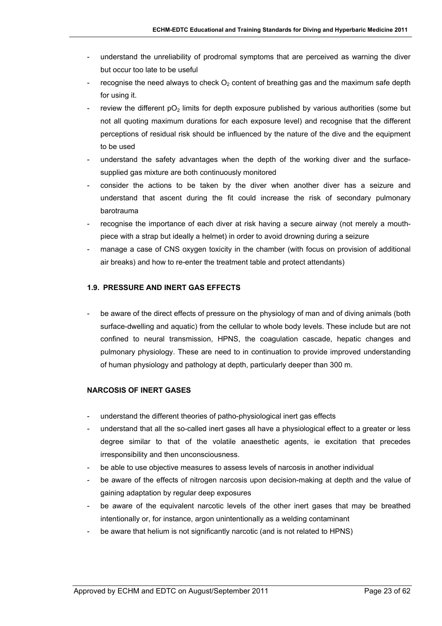- understand the unreliability of prodromal symptoms that are perceived as warning the diver but occur too late to be useful
- recognise the need always to check  $O<sub>2</sub>$  content of breathing gas and the maximum safe depth for using it.
- review the different  $pO<sub>2</sub>$  limits for depth exposure published by various authorities (some but not all quoting maximum durations for each exposure level) and recognise that the different perceptions of residual risk should be influenced by the nature of the dive and the equipment to be used
- understand the safety advantages when the depth of the working diver and the surfacesupplied gas mixture are both continuously monitored
- consider the actions to be taken by the diver when another diver has a seizure and understand that ascent during the fit could increase the risk of secondary pulmonary barotrauma
- recognise the importance of each diver at risk having a secure airway (not merely a mouthpiece with a strap but ideally a helmet) in order to avoid drowning during a seizure
- manage a case of CNS oxygen toxicity in the chamber (with focus on provision of additional air breaks) and how to re-enter the treatment table and protect attendants)

#### **1.9. PRESSURE AND INERT GAS EFFECTS**

be aware of the direct effects of pressure on the physiology of man and of diving animals (both surface-dwelling and aquatic) from the cellular to whole body levels. These include but are not confined to neural transmission, HPNS, the coagulation cascade, hepatic changes and pulmonary physiology. These are need to in continuation to provide improved understanding of human physiology and pathology at depth, particularly deeper than 300 m.

#### **NARCOSIS OF INERT GASES**

- understand the different theories of patho-physiological inert gas effects
- understand that all the so-called inert gases all have a physiological effect to a greater or less degree similar to that of the volatile anaesthetic agents, ie excitation that precedes irresponsibility and then unconsciousness.
- be able to use objective measures to assess levels of narcosis in another individual
- be aware of the effects of nitrogen narcosis upon decision-making at depth and the value of gaining adaptation by regular deep exposures
- be aware of the equivalent narcotic levels of the other inert gases that may be breathed intentionally or, for instance, argon unintentionally as a welding contaminant
- be aware that helium is not significantly narcotic (and is not related to HPNS)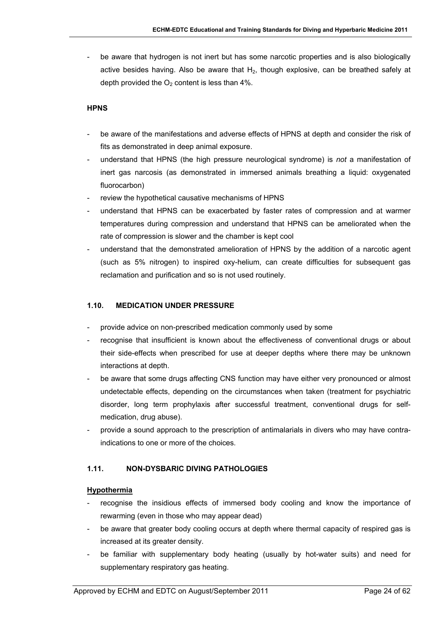be aware that hydrogen is not inert but has some narcotic properties and is also biologically active besides having. Also be aware that  $H_2$ , though explosive, can be breathed safely at depth provided the  $O_2$  content is less than 4%.

#### **HPNS**

- be aware of the manifestations and adverse effects of HPNS at depth and consider the risk of fits as demonstrated in deep animal exposure.
- understand that HPNS (the high pressure neurological syndrome) is *not* a manifestation of inert gas narcosis (as demonstrated in immersed animals breathing a liquid: oxygenated fluorocarbon)
- review the hypothetical causative mechanisms of HPNS
- understand that HPNS can be exacerbated by faster rates of compression and at warmer temperatures during compression and understand that HPNS can be ameliorated when the rate of compression is slower and the chamber is kept cool
- understand that the demonstrated amelioration of HPNS by the addition of a narcotic agent (such as 5% nitrogen) to inspired oxy-helium, can create difficulties for subsequent gas reclamation and purification and so is not used routinely.

#### **1.10. MEDICATION UNDER PRESSURE**

- provide advice on non-prescribed medication commonly used by some
- recognise that insufficient is known about the effectiveness of conventional drugs or about their side-effects when prescribed for use at deeper depths where there may be unknown interactions at depth.
- be aware that some drugs affecting CNS function may have either very pronounced or almost undetectable effects, depending on the circumstances when taken (treatment for psychiatric disorder, long term prophylaxis after successful treatment, conventional drugs for selfmedication, drug abuse).
- provide a sound approach to the prescription of antimalarials in divers who may have contraindications to one or more of the choices.

#### **1.11. NON-DYSBARIC DIVING PATHOLOGIES**

#### **Hypothermia**

- recognise the insidious effects of immersed body cooling and know the importance of rewarming (even in those who may appear dead)
- be aware that greater body cooling occurs at depth where thermal capacity of respired gas is increased at its greater density.
- be familiar with supplementary body heating (usually by hot-water suits) and need for supplementary respiratory gas heating.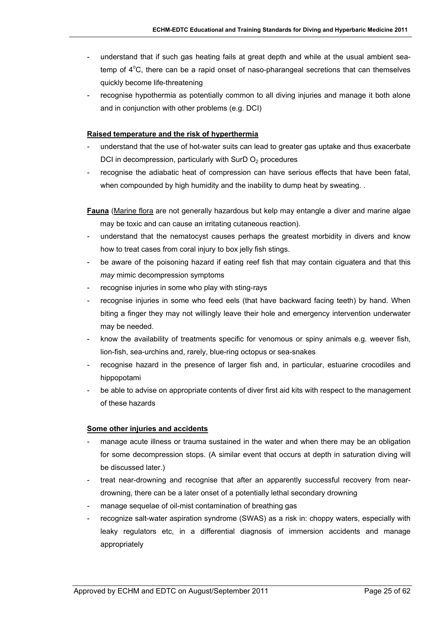- understand that if such gas heating fails at great depth and while at the usual ambient seatemp of  $4^{\circ}$ C, there can be a rapid onset of naso-pharangeal secretions that can themselves quickly become life-threatening
- recognise hypothermia as potentially common to all diving injuries and manage it both alone and in conjunction with other problems (e.g. DCI)

#### **Raised temperature and the risk of hyperthermia**

- understand that the use of hot-water suits can lead to greater gas uptake and thus exacerbate DCI in decompression, particularly with SurD  $O<sub>2</sub>$  procedures
- recognise the adiabatic heat of compression can have serious effects that have been fatal, when compounded by high humidity and the inability to dump heat by sweating. .

**Fauna** (Marine flora are not generally hazardous but kelp may entangle a diver and marine algae may be toxic and can cause an irritating cutaneous reaction)*.* 

- understand that the nematocyst causes perhaps the greatest morbidity in divers and know how to treat cases from coral injury to box jelly fish stings.
- be aware of the poisoning hazard if eating reef fish that may contain ciguatera and that this *may* mimic decompression symptoms
- recognise injuries in some who play with sting-rays
- recognise injuries in some who feed eels (that have backward facing teeth) by hand. When biting a finger they may not willingly leave their hole and emergency intervention underwater may be needed.
- know the availability of treatments specific for venomous or spiny animals e.g. weever fish, lion-fish, sea-urchins and, rarely, blue-ring octopus or sea-snakes
- recognise hazard in the presence of larger fish and, in particular, estuarine crocodiles and hippopotami
- be able to advise on appropriate contents of diver first aid kits with respect to the management of these hazards

#### **Some other injuries and accidents**

- manage acute illness or trauma sustained in the water and when there may be an obligation for some decompression stops. (A similar event that occurs at depth in saturation diving will be discussed later.)
- treat near-drowning and recognise that after an apparently successful recovery from neardrowning, there can be a later onset of a potentially lethal secondary drowning
- manage sequelae of oil-mist contamination of breathing gas
- recognize salt-water aspiration syndrome (SWAS) as a risk in: choppy waters, especially with leaky regulators etc, in a differential diagnosis of immersion accidents and manage appropriately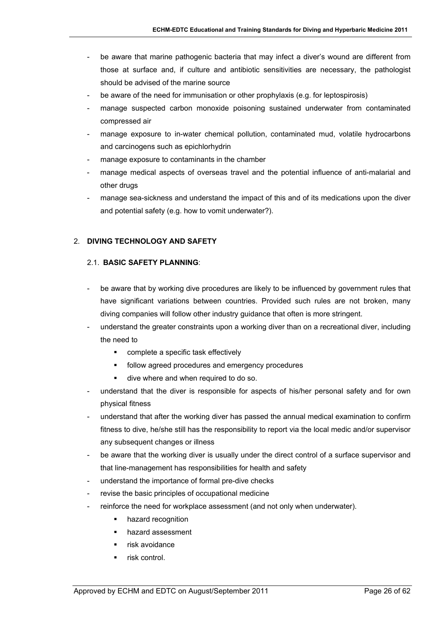- be aware that marine pathogenic bacteria that may infect a diver's wound are different from those at surface and, if culture and antibiotic sensitivities are necessary, the pathologist should be advised of the marine source
- be aware of the need for immunisation or other prophylaxis (e.g. for leptospirosis)
- manage suspected carbon monoxide poisoning sustained underwater from contaminated compressed air
- manage exposure to in-water chemical pollution, contaminated mud, volatile hydrocarbons and carcinogens such as epichlorhydrin
- manage exposure to contaminants in the chamber
- manage medical aspects of overseas travel and the potential influence of anti-malarial and other drugs
- manage sea-sickness and understand the impact of this and of its medications upon the diver and potential safety (e.g. how to vomit underwater?).

## 2. **DIVING TECHNOLOGY AND SAFETY**

#### 2.1. **BASIC SAFETY PLANNING**:

- be aware that by working dive procedures are likely to be influenced by government rules that have significant variations between countries. Provided such rules are not broken, many diving companies will follow other industry guidance that often is more stringent.
- understand the greater constraints upon a working diver than on a recreational diver, including the need to
	- complete a specific task effectively
	- **FILLO** follow agreed procedures and emergency procedures
	- dive where and when required to do so.
- understand that the diver is responsible for aspects of his/her personal safety and for own physical fitness
- understand that after the working diver has passed the annual medical examination to confirm fitness to dive, he/she still has the responsibility to report via the local medic and/or supervisor any subsequent changes or illness
- be aware that the working diver is usually under the direct control of a surface supervisor and that line-management has responsibilities for health and safety
- understand the importance of formal pre-dive checks
- revise the basic principles of occupational medicine
- reinforce the need for workplace assessment (and not only when underwater).
	- **hazard recognition**
	- **hazard assessment**
	- risk avoidance
	- risk control.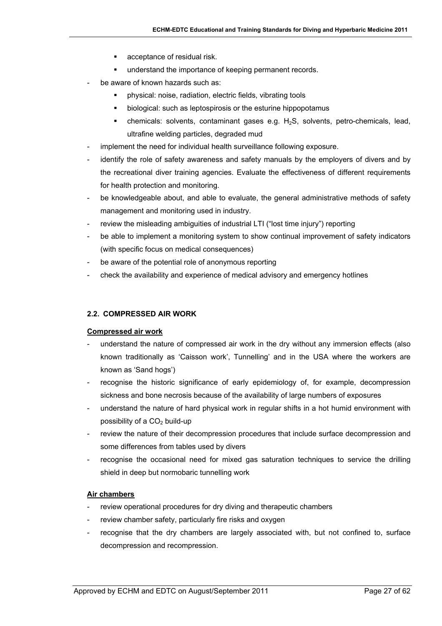- **acceptance of residual risk.**
- **understand the importance of keeping permanent records.**
- be aware of known hazards such as:
	- physical: noise, radiation, electric fields, vibrating tools
	- **EXEDEN** biological: such as leptospirosis or the esturine hippopotamus
	- **•** chemicals: solvents, contaminant gases e.g.  $H_2S$ , solvents, petro-chemicals, lead, ultrafine welding particles, degraded mud
- implement the need for individual health surveillance following exposure.
- identify the role of safety awareness and safety manuals by the employers of divers and by the recreational diver training agencies. Evaluate the effectiveness of different requirements for health protection and monitoring.
- be knowledgeable about, and able to evaluate, the general administrative methods of safety management and monitoring used in industry.
- review the misleading ambiguities of industrial LTI ("lost time injury") reporting
- be able to implement a monitoring system to show continual improvement of safety indicators (with specific focus on medical consequences)
- be aware of the potential role of anonymous reporting
- check the availability and experience of medical advisory and emergency hotlines

### **2.2. COMPRESSED AIR WORK**

#### **Compressed air work**

- understand the nature of compressed air work in the dry without any immersion effects (also known traditionally as 'Caisson work', Tunnelling' and in the USA where the workers are known as 'Sand hogs')
- recognise the historic significance of early epidemiology of, for example, decompression sickness and bone necrosis because of the availability of large numbers of exposures
- understand the nature of hard physical work in regular shifts in a hot humid environment with possibility of a  $CO<sub>2</sub>$  build-up
- review the nature of their decompression procedures that include surface decompression and some differences from tables used by divers
- recognise the occasional need for mixed gas saturation techniques to service the drilling shield in deep but normobaric tunnelling work

## **Air chambers**

- review operational procedures for dry diving and therapeutic chambers
- review chamber safety, particularly fire risks and oxygen
- recognise that the dry chambers are largely associated with, but not confined to, surface decompression and recompression.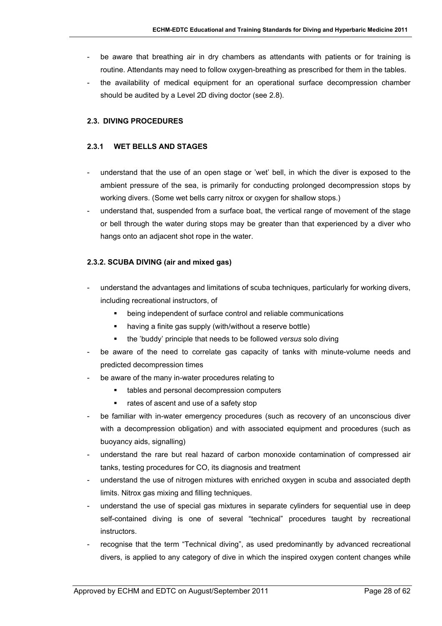- be aware that breathing air in dry chambers as attendants with patients or for training is routine. Attendants may need to follow oxygen-breathing as prescribed for them in the tables.
- the availability of medical equipment for an operational surface decompression chamber should be audited by a Level 2D diving doctor (see 2.8).

### **2.3. DIVING PROCEDURES**

#### **2.3.1 WET BELLS AND STAGES**

- understand that the use of an open stage or 'wet' bell, in which the diver is exposed to the ambient pressure of the sea, is primarily for conducting prolonged decompression stops by working divers. (Some wet bells carry nitrox or oxygen for shallow stops.)
- understand that, suspended from a surface boat, the vertical range of movement of the stage or bell through the water during stops may be greater than that experienced by a diver who hangs onto an adjacent shot rope in the water.

#### **2.3.2. SCUBA DIVING (air and mixed gas)**

- understand the advantages and limitations of scuba techniques, particularly for working divers, including recreational instructors, of
	- being independent of surface control and reliable communications
	- having a finite gas supply (with/without a reserve bottle)
	- the 'buddy' principle that needs to be followed *versus* solo diving
- be aware of the need to correlate gas capacity of tanks with minute-volume needs and predicted decompression times
- be aware of the many in-water procedures relating to
	- tables and personal decompression computers
	- rates of ascent and use of a safety stop
- be familiar with in-water emergency procedures (such as recovery of an unconscious diver with a decompression obligation) and with associated equipment and procedures (such as buoyancy aids, signalling)
- understand the rare but real hazard of carbon monoxide contamination of compressed air tanks, testing procedures for CO, its diagnosis and treatment
- understand the use of nitrogen mixtures with enriched oxygen in scuba and associated depth limits. Nitrox gas mixing and filling techniques.
- understand the use of special gas mixtures in separate cylinders for sequential use in deep self-contained diving is one of several "technical" procedures taught by recreational instructors.
- recognise that the term "Technical diving", as used predominantly by advanced recreational divers, is applied to any category of dive in which the inspired oxygen content changes while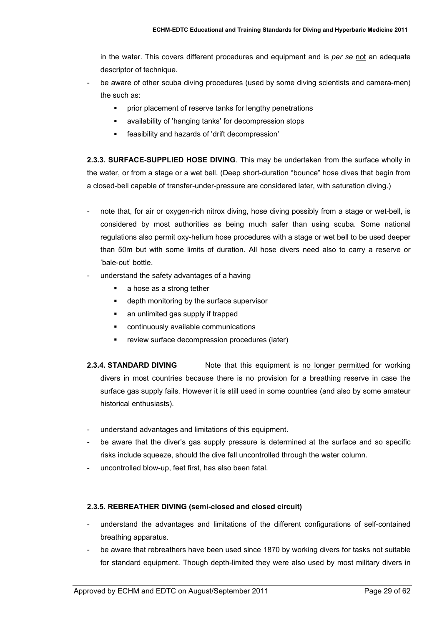in the water. This covers different procedures and equipment and is *per se* not an adequate descriptor of technique.

- be aware of other scuba diving procedures (used by some diving scientists and camera-men) the such as:
	- **•** prior placement of reserve tanks for lengthy penetrations
	- availability of 'hanging tanks' for decompression stops
	- feasibility and hazards of 'drift decompression'

**2.3.3. SURFACE-SUPPLIED HOSE DIVING**. This may be undertaken from the surface wholly in the water, or from a stage or a wet bell. (Deep short-duration "bounce" hose dives that begin from a closed-bell capable of transfer-under-pressure are considered later, with saturation diving.)

- note that, for air or oxygen-rich nitrox diving, hose diving possibly from a stage or wet-bell, is considered by most authorities as being much safer than using scuba. Some national regulations also permit oxy-helium hose procedures with a stage or wet bell to be used deeper than 50m but with some limits of duration. All hose divers need also to carry a reserve or 'bale-out' bottle.
- understand the safety advantages of a having
	- a hose as a strong tether
	- **e** depth monitoring by the surface supervisor
	- an unlimited gas supply if trapped
	- continuously available communications
	- **F** review surface decompression procedures (later)
- **2.3.4. STANDARD DIVING** Note that this equipment is no longer permitted for working divers in most countries because there is no provision for a breathing reserve in case the surface gas supply fails. However it is still used in some countries (and also by some amateur historical enthusiasts).
- understand advantages and limitations of this equipment.
- be aware that the diver's gas supply pressure is determined at the surface and so specific risks include squeeze, should the dive fall uncontrolled through the water column.
- uncontrolled blow-up, feet first, has also been fatal.

#### **2.3.5. REBREATHER DIVING (semi-closed and closed circuit)**

- understand the advantages and limitations of the different configurations of self-contained breathing apparatus.
- be aware that rebreathers have been used since 1870 by working divers for tasks not suitable for standard equipment. Though depth-limited they were also used by most military divers in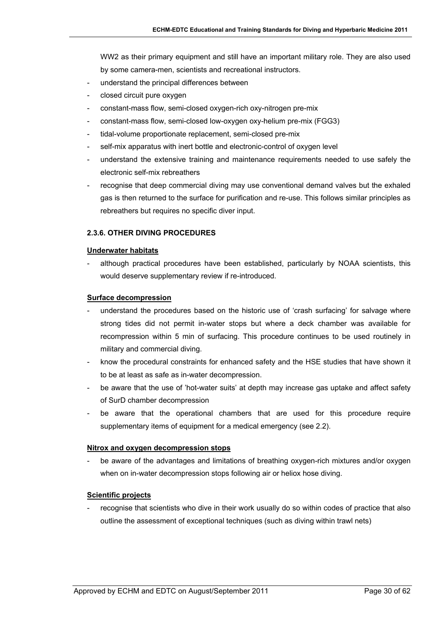WW2 as their primary equipment and still have an important military role. They are also used by some camera-men, scientists and recreational instructors.

- understand the principal differences between
- closed circuit pure oxygen
- constant-mass flow, semi-closed oxygen-rich oxy-nitrogen pre-mix
- constant-mass flow, semi-closed low-oxygen oxy-helium pre-mix (FGG3)
- tidal-volume proportionate replacement, semi-closed pre-mix
- self-mix apparatus with inert bottle and electronic-control of oxygen level
- understand the extensive training and maintenance requirements needed to use safely the electronic self-mix rebreathers
- recognise that deep commercial diving may use conventional demand valves but the exhaled gas is then returned to the surface for purification and re-use. This follows similar principles as rebreathers but requires no specific diver input.

#### **2.3.6. OTHER DIVING PROCEDURES**

#### **Underwater habitats**

although practical procedures have been established, particularly by NOAA scientists, this would deserve supplementary review if re-introduced.

#### **Surface decompression**

- understand the procedures based on the historic use of 'crash surfacing' for salvage where strong tides did not permit in-water stops but where a deck chamber was available for recompression within 5 min of surfacing. This procedure continues to be used routinely in military and commercial diving.
- know the procedural constraints for enhanced safety and the HSE studies that have shown it to be at least as safe as in-water decompression.
- be aware that the use of 'hot-water suits' at depth may increase gas uptake and affect safety of SurD chamber decompression
- be aware that the operational chambers that are used for this procedure require supplementary items of equipment for a medical emergency (see 2.2).

#### **Nitrox and oxygen decompression stops**

be aware of the advantages and limitations of breathing oxygen-rich mixtures and/or oxygen when on in-water decompression stops following air or heliox hose diving.

#### **Scientific projects**

recognise that scientists who dive in their work usually do so within codes of practice that also outline the assessment of exceptional techniques (such as diving within trawl nets)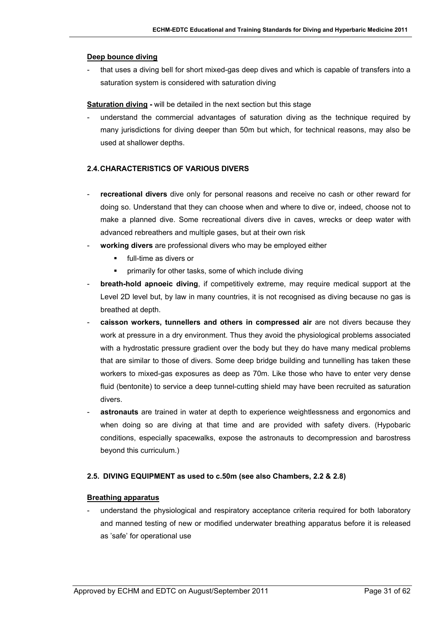#### **Deep bounce diving**

that uses a diving bell for short mixed-gas deep dives and which is capable of transfers into a saturation system is considered with saturation diving

**Saturation diving -** will be detailed in the next section but this stage

- understand the commercial advantages of saturation diving as the technique required by many jurisdictions for diving deeper than 50m but which, for technical reasons, may also be used at shallower depths.

#### **2.4. CHARACTERISTICS OF VARIOUS DIVERS**

- recreational divers dive only for personal reasons and receive no cash or other reward for doing so. Understand that they can choose when and where to dive or, indeed, choose not to make a planned dive. Some recreational divers dive in caves, wrecks or deep water with advanced rebreathers and multiple gases, but at their own risk
- working divers are professional divers who may be employed either
	- full-time as divers or
	- **•** primarily for other tasks, some of which include diving
- **breath-hold apnoeic diving**, if competitively extreme, may require medical support at the Level 2D level but, by law in many countries, it is not recognised as diving because no gas is breathed at depth.
- **caisson workers, tunnellers and others in compressed air** are not divers because they work at pressure in a dry environment. Thus they avoid the physiological problems associated with a hydrostatic pressure gradient over the body but they do have many medical problems that are similar to those of divers. Some deep bridge building and tunnelling has taken these workers to mixed-gas exposures as deep as 70m. Like those who have to enter very dense fluid (bentonite) to service a deep tunnel-cutting shield may have been recruited as saturation divers.
- astronauts are trained in water at depth to experience weightlessness and ergonomics and when doing so are diving at that time and are provided with safety divers. (Hypobaric conditions, especially spacewalks, expose the astronauts to decompression and barostress beyond this curriculum.)

#### **2.5. DIVING EQUIPMENT as used to c.50m (see also Chambers, 2.2 & 2.8)**

#### **Breathing apparatus**

understand the physiological and respiratory acceptance criteria required for both laboratory and manned testing of new or modified underwater breathing apparatus before it is released as 'safe' for operational use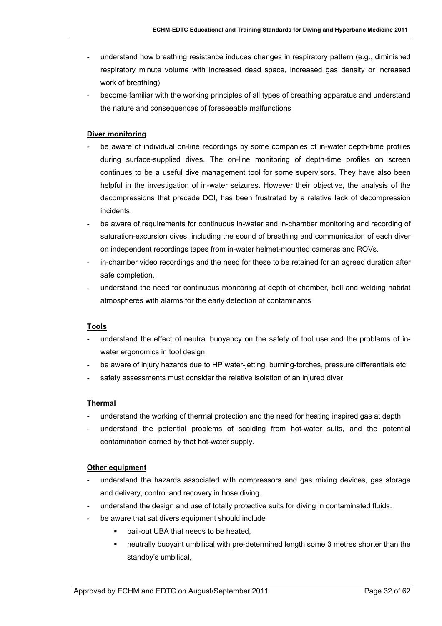- understand how breathing resistance induces changes in respiratory pattern (e.g., diminished respiratory minute volume with increased dead space, increased gas density or increased work of breathing)
- become familiar with the working principles of all types of breathing apparatus and understand the nature and consequences of foreseeable malfunctions

### **Diver monitoring**

- be aware of individual on-line recordings by some companies of in-water depth-time profiles during surface-supplied dives. The on-line monitoring of depth-time profiles on screen continues to be a useful dive management tool for some supervisors. They have also been helpful in the investigation of in-water seizures. However their objective, the analysis of the decompressions that precede DCI, has been frustrated by a relative lack of decompression incidents.
- be aware of requirements for continuous in-water and in-chamber monitoring and recording of saturation-excursion dives, including the sound of breathing and communication of each diver on independent recordings tapes from in-water helmet-mounted cameras and ROVs.
- in-chamber video recordings and the need for these to be retained for an agreed duration after safe completion.
- understand the need for continuous monitoring at depth of chamber, bell and welding habitat atmospheres with alarms for the early detection of contaminants

#### **Tools**

- understand the effect of neutral buoyancy on the safety of tool use and the problems of inwater ergonomics in tool design
- be aware of injury hazards due to HP water-jetting, burning-torches, pressure differentials etc
- safety assessments must consider the relative isolation of an injured diver

#### **Thermal**

- understand the working of thermal protection and the need for heating inspired gas at depth
- understand the potential problems of scalding from hot-water suits, and the potential contamination carried by that hot-water supply.

#### **Other equipment**

- understand the hazards associated with compressors and gas mixing devices, gas storage and delivery, control and recovery in hose diving.
- understand the design and use of totally protective suits for diving in contaminated fluids.
- be aware that sat divers equipment should include
	- **•** bail-out UBA that needs to be heated,
	- neutrally buoyant umbilical with pre-determined length some 3 metres shorter than the standby's umbilical,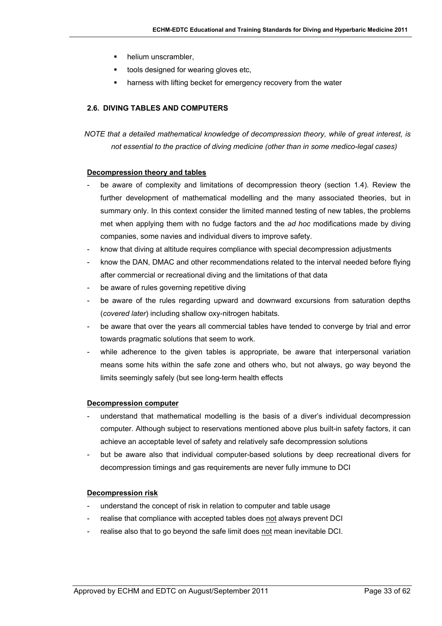- helium unscrambler,
- **tools designed for wearing gloves etc,**
- harness with lifting becket for emergency recovery from the water

## **2.6. DIVING TABLES AND COMPUTERS**

*NOTE that a detailed mathematical knowledge of decompression theory, while of great interest, is not essential to the practice of diving medicine (other than in some medico-legal cases)*

#### **Decompression theory and tables**

- be aware of complexity and limitations of decompression theory (section 1.4). Review the further development of mathematical modelling and the many associated theories, but in summary only. In this context consider the limited manned testing of new tables, the problems met when applying them with no fudge factors and the *ad hoc* modifications made by diving companies, some navies and individual divers to improve safety.
- know that diving at altitude requires compliance with special decompression adjustments
- know the DAN, DMAC and other recommendations related to the interval needed before flying after commercial or recreational diving and the limitations of that data
- be aware of rules governing repetitive diving
- be aware of the rules regarding upward and downward excursions from saturation depths (*covered later*) including shallow oxy-nitrogen habitats.
- be aware that over the years all commercial tables have tended to converge by trial and error towards pragmatic solutions that seem to work.
- while adherence to the given tables is appropriate, be aware that interpersonal variation means some hits within the safe zone and others who, but not always, go way beyond the limits seemingly safely (but see long-term health effects

#### **Decompression computer**

- understand that mathematical modelling is the basis of a diver's individual decompression computer. Although subject to reservations mentioned above plus built-in safety factors, it can achieve an acceptable level of safety and relatively safe decompression solutions
- but be aware also that individual computer-based solutions by deep recreational divers for decompression timings and gas requirements are never fully immune to DCI

#### **Decompression risk**

- understand the concept of risk in relation to computer and table usage
- realise that compliance with accepted tables does not always prevent DCI
- realise also that to go beyond the safe limit does not mean inevitable DCI.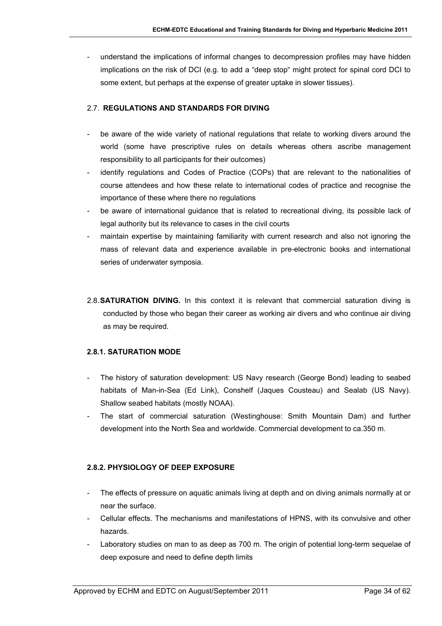understand the implications of informal changes to decompression profiles may have hidden implications on the risk of DCI (e.g. to add a "deep stop" might protect for spinal cord DCI to some extent, but perhaps at the expense of greater uptake in slower tissues).

### 2.7. **REGULATIONS AND STANDARDS FOR DIVING**

- be aware of the wide variety of national regulations that relate to working divers around the world (some have prescriptive rules on details whereas others ascribe management responsibility to all participants for their outcomes)
- identify regulations and Codes of Practice (COPs) that are relevant to the nationalities of course attendees and how these relate to international codes of practice and recognise the importance of these where there no regulations
- be aware of international quidance that is related to recreational diving, its possible lack of legal authority but its relevance to cases in the civil courts
- maintain expertise by maintaining familiarity with current research and also not ignoring the mass of relevant data and experience available in pre-electronic books and international series of underwater symposia.
- 2.8. **SATURATION DIVING.** In this context it is relevant that commercial saturation diving is conducted by those who began their career as working air divers and who continue air diving as may be required.

## **2.8.1. SATURATION MODE**

- The history of saturation development: US Navy research (George Bond) leading to seabed habitats of Man-in-Sea (Ed Link), Conshelf (Jaques Cousteau) and Sealab (US Navy). Shallow seabed habitats (mostly NOAA).
- The start of commercial saturation (Westinghouse: Smith Mountain Dam) and further development into the North Sea and worldwide. Commercial development to ca.350 m.

## **2.8.2. PHYSIOLOGY OF DEEP EXPOSURE**

- The effects of pressure on aquatic animals living at depth and on diving animals normally at or near the surface.
- Cellular effects. The mechanisms and manifestations of HPNS, with its convulsive and other hazards.
- Laboratory studies on man to as deep as 700 m. The origin of potential long-term sequelae of deep exposure and need to define depth limits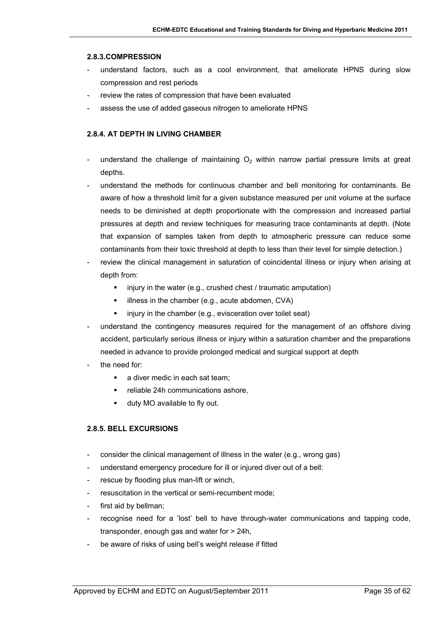#### **2.8.3.COMPRESSION**

- understand factors, such as a cool environment, that ameliorate HPNS during slow compression and rest periods
- review the rates of compression that have been evaluated
- assess the use of added gaseous nitrogen to ameliorate HPNS

#### **2.8.4. AT DEPTH IN LIVING CHAMBER**

- understand the challenge of maintaining  $O<sub>2</sub>$  within narrow partial pressure limits at great depths.
- understand the methods for continuous chamber and bell monitoring for contaminants. Be aware of how a threshold limit for a given substance measured per unit volume at the surface needs to be diminished at depth proportionate with the compression and increased partial pressures at depth and review techniques for measuring trace contaminants at depth. (Note that expansion of samples taken from depth to atmospheric pressure can reduce some contaminants from their toxic threshold at depth to less than their level for simple detection.)
- review the clinical management in saturation of coincidental illness or injury when arising at depth from:
	- $\blacksquare$  injury in the water (e.g., crushed chest / traumatic amputation)
	- illness in the chamber (e.g., acute abdomen, CVA)
	- $\blacksquare$  injury in the chamber (e.g., evisceration over toilet seat)
- understand the contingency measures required for the management of an offshore diving accident, particularly serious illness or injury within a saturation chamber and the preparations needed in advance to provide prolonged medical and surgical support at depth
- the need for:
	- a diver medic in each sat team;
	- **Falle 24h communications ashore,**
	- duty MO available to fly out.

#### **2.8.5. BELL EXCURSIONS**

- consider the clinical management of illness in the water (e.g., wrong gas)
- understand emergency procedure for ill or injured diver out of a bell:
- rescue by flooding plus man-lift or winch,
- resuscitation in the vertical or semi-recumbent mode;
- first aid by bellman;
- recognise need for a 'lost' bell to have through-water communications and tapping code, transponder, enough gas and water for > 24h,
- be aware of risks of using bell's weight release if fitted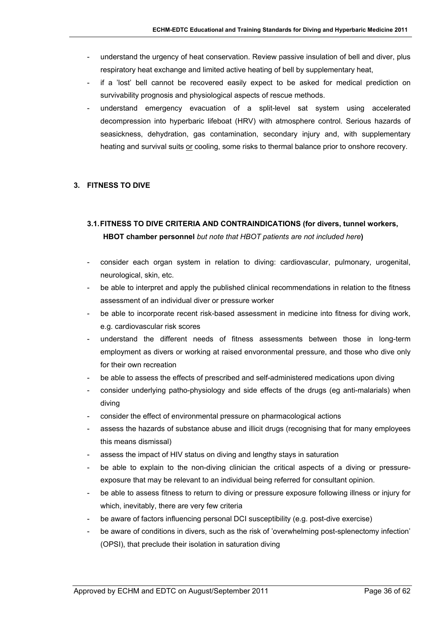- understand the urgency of heat conservation. Review passive insulation of bell and diver, plus respiratory heat exchange and limited active heating of bell by supplementary heat,
- if a 'lost' bell cannot be recovered easily expect to be asked for medical prediction on survivability prognosis and physiological aspects of rescue methods.
- understand emergency evacuation of a split-level sat system using accelerated decompression into hyperbaric lifeboat (HRV) with atmosphere control. Serious hazards of seasickness, dehydration, gas contamination, secondary injury and, with supplementary heating and survival suits or cooling, some risks to thermal balance prior to onshore recovery.

## **3. FITNESS TO DIVE**

# **3.1. FITNESS TO DIVE CRITERIA AND CONTRAINDICATIONS (for divers, tunnel workers, HBOT chamber personnel** *but note that HBOT patients are not included here***)**

- consider each organ system in relation to diving: cardiovascular, pulmonary, urogenital, neurological, skin, etc.
- be able to interpret and apply the published clinical recommendations in relation to the fitness assessment of an individual diver or pressure worker
- be able to incorporate recent risk-based assessment in medicine into fitness for diving work, e.g. cardiovascular risk scores
- understand the different needs of fitness assessments between those in long-term employment as divers or working at raised envoronmental pressure, and those who dive only for their own recreation
- be able to assess the effects of prescribed and self-administered medications upon diving
- consider underlying patho-physiology and side effects of the drugs (eg anti-malarials) when diving
- consider the effect of environmental pressure on pharmacological actions
- assess the hazards of substance abuse and illicit drugs (recognising that for many employees this means dismissal)
- assess the impact of HIV status on diving and lengthy stays in saturation
- be able to explain to the non-diving clinician the critical aspects of a diving or pressureexposure that may be relevant to an individual being referred for consultant opinion.
- be able to assess fitness to return to diving or pressure exposure following illness or injury for which, inevitably, there are very few criteria
- be aware of factors influencing personal DCI susceptibility (e.g. post-dive exercise)
- be aware of conditions in divers, such as the risk of 'overwhelming post-splenectomy infection' (OPSI), that preclude their isolation in saturation diving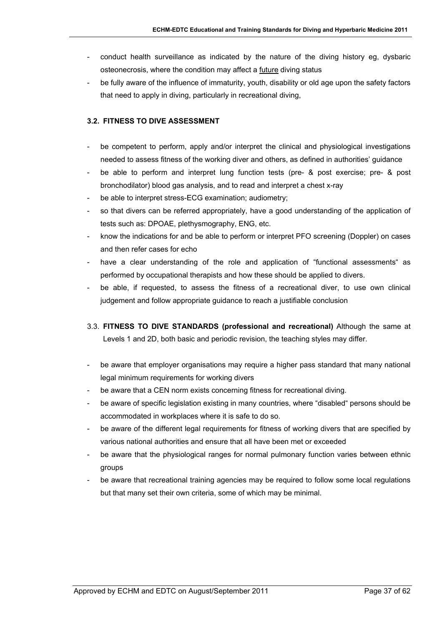- conduct health surveillance as indicated by the nature of the diving history eg, dysbaric osteonecrosis, where the condition may affect a future diving status
- be fully aware of the influence of immaturity, youth, disability or old age upon the safety factors that need to apply in diving, particularly in recreational diving,

## **3.2. FITNESS TO DIVE ASSESSMENT**

- be competent to perform, apply and/or interpret the clinical and physiological investigations needed to assess fitness of the working diver and others, as defined in authorities' guidance
- be able to perform and interpret lung function tests (pre- & post exercise; pre- & post bronchodilator) blood gas analysis, and to read and interpret a chest x-ray
- be able to interpret stress-ECG examination; audiometry;
- so that divers can be referred appropriately, have a good understanding of the application of tests such as: DPOAE, plethysmography, ENG, etc.
- know the indications for and be able to perform or interpret PFO screening (Doppler) on cases and then refer cases for echo
- have a clear understanding of the role and application of "functional assessments" as performed by occupational therapists and how these should be applied to divers.
- be able, if requested, to assess the fitness of a recreational diver, to use own clinical judgement and follow appropriate guidance to reach a justifiable conclusion
- 3.3. **FITNESS TO DIVE STANDARDS (professional and recreational)** Although the same at Levels 1 and 2D, both basic and periodic revision, the teaching styles may differ.
- be aware that employer organisations may require a higher pass standard that many national legal minimum requirements for working divers
- be aware that a CEN norm exists concerning fitness for recreational diving.
- be aware of specific legislation existing in many countries, where "disabled" persons should be accommodated in workplaces where it is safe to do so.
- be aware of the different legal requirements for fitness of working divers that are specified by various national authorities and ensure that all have been met or exceeded
- be aware that the physiological ranges for normal pulmonary function varies between ethnic groups
- be aware that recreational training agencies may be required to follow some local regulations but that many set their own criteria, some of which may be minimal.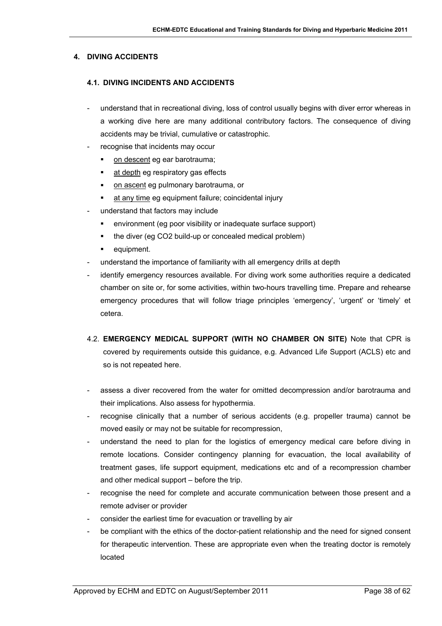### **4. DIVING ACCIDENTS**

### **4.1. DIVING INCIDENTS AND ACCIDENTS**

- understand that in recreational diving, loss of control usually begins with diver error whereas in a working dive here are many additional contributory factors. The consequence of diving accidents may be trivial, cumulative or catastrophic.
- recognise that incidents may occur
	- on descent eg ear barotrauma;
	- **at depth eg respiratory gas effects**
	- on ascent eg pulmonary barotrauma, or
	- at any time eg equipment failure; coincidental injury
- understand that factors may include
	- environment (eg poor visibility or inadequate surface support)
	- the diver (eg CO2 build-up or concealed medical problem)
	- **•** equipment.
- understand the importance of familiarity with all emergency drills at depth
- identify emergency resources available. For diving work some authorities require a dedicated chamber on site or, for some activities, within two-hours travelling time. Prepare and rehearse emergency procedures that will follow triage principles 'emergency', 'urgent' or 'timely' et cetera.
- 4.2. **EMERGENCY MEDICAL SUPPORT (WITH NO CHAMBER ON SITE)** Note that CPR is covered by requirements outside this guidance, e.g. Advanced Life Support (ACLS) etc and so is not repeated here.
- assess a diver recovered from the water for omitted decompression and/or barotrauma and their implications. Also assess for hypothermia.
- recognise clinically that a number of serious accidents (e.g. propeller trauma) cannot be moved easily or may not be suitable for recompression,
- understand the need to plan for the logistics of emergency medical care before diving in remote locations. Consider contingency planning for evacuation, the local availability of treatment gases, life support equipment, medications etc and of a recompression chamber and other medical support – before the trip.
- recognise the need for complete and accurate communication between those present and a remote adviser or provider
- consider the earliest time for evacuation or travelling by air
- be compliant with the ethics of the doctor-patient relationship and the need for signed consent for therapeutic intervention. These are appropriate even when the treating doctor is remotely located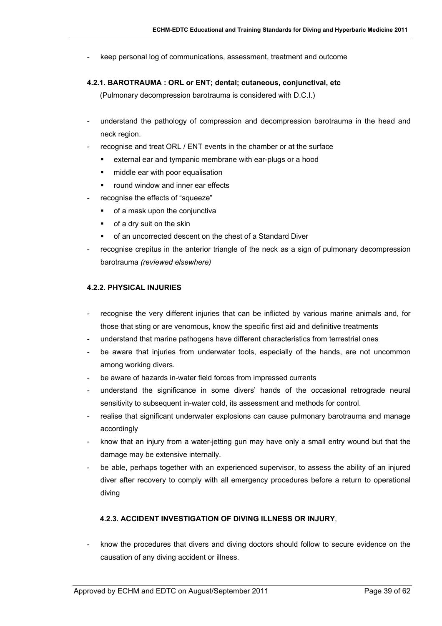- keep personal log of communications, assessment, treatment and outcome
- **4.2.1. BAROTRAUMA : ORL or ENT; dental; cutaneous, conjunctival, etc**

(Pulmonary decompression barotrauma is considered with D.C.I.)

- understand the pathology of compression and decompression barotrauma in the head and neck region.
- recognise and treat ORL / ENT events in the chamber or at the surface
	- external ear and tympanic membrane with ear-plugs or a hood
	- middle ear with poor equalisation
	- **•** round window and inner ear effects
- recognise the effects of "squeeze"
	- of a mask upon the conjunctiva
	- of a dry suit on the skin
	- of an uncorrected descent on the chest of a Standard Diver
- recognise crepitus in the anterior triangle of the neck as a sign of pulmonary decompression barotrauma *(reviewed elsewhere)*

#### **4.2.2. PHYSICAL INJURIES**

- recognise the very different injuries that can be inflicted by various marine animals and, for those that sting or are venomous, know the specific first aid and definitive treatments
- understand that marine pathogens have different characteristics from terrestrial ones
- be aware that injuries from underwater tools, especially of the hands, are not uncommon among working divers.
- be aware of hazards in-water field forces from impressed currents
- understand the significance in some divers' hands of the occasional retrograde neural sensitivity to subsequent in-water cold, its assessment and methods for control.
- realise that significant underwater explosions can cause pulmonary barotrauma and manage accordingly
- know that an injury from a water-jetting gun may have only a small entry wound but that the damage may be extensive internally.
- be able, perhaps together with an experienced supervisor, to assess the ability of an injured diver after recovery to comply with all emergency procedures before a return to operational diving

#### **4.2.3. ACCIDENT INVESTIGATION OF DIVING ILLNESS OR INJURY**,

- know the procedures that divers and diving doctors should follow to secure evidence on the causation of any diving accident or illness.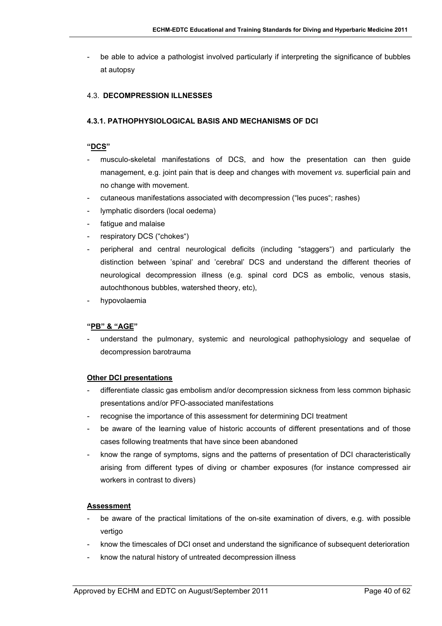be able to advice a pathologist involved particularly if interpreting the significance of bubbles at autopsy

#### 4.3. **DECOMPRESSION ILLNESSES**

#### **4.3.1. PATHOPHYSIOLOGICAL BASIS AND MECHANISMS OF DCI**

#### **"DCS"**

- musculo-skeletal manifestations of DCS, and how the presentation can then quide management, e.g. joint pain that is deep and changes with movement *vs.* superficial pain and no change with movement.
- cutaneous manifestations associated with decompression ("les puces"; rashes)
- lymphatic disorders (local oedema)
- fatigue and malaise
- respiratory DCS ("chokes")
- peripheral and central neurological deficits (including "staggers") and particularly the distinction between 'spinal' and 'cerebral' DCS and understand the different theories of neurological decompression illness (e.g. spinal cord DCS as embolic, venous stasis, autochthonous bubbles, watershed theory, etc),
- hypovolaemia

#### **"PB" & "AGE"**

- understand the pulmonary, systemic and neurological pathophysiology and sequelae of decompression barotrauma

#### **Other DCI presentations**

- differentiate classic gas embolism and/or decompression sickness from less common biphasic presentations and/or PFO-associated manifestations
- recognise the importance of this assessment for determining DCI treatment
- be aware of the learning value of historic accounts of different presentations and of those cases following treatments that have since been abandoned
- know the range of symptoms, signs and the patterns of presentation of DCI characteristically arising from different types of diving or chamber exposures (for instance compressed air workers in contrast to divers)

#### **Assessment**

- be aware of the practical limitations of the on-site examination of divers, e.g. with possible vertigo
- know the timescales of DCI onset and understand the significance of subsequent deterioration
- know the natural history of untreated decompression illness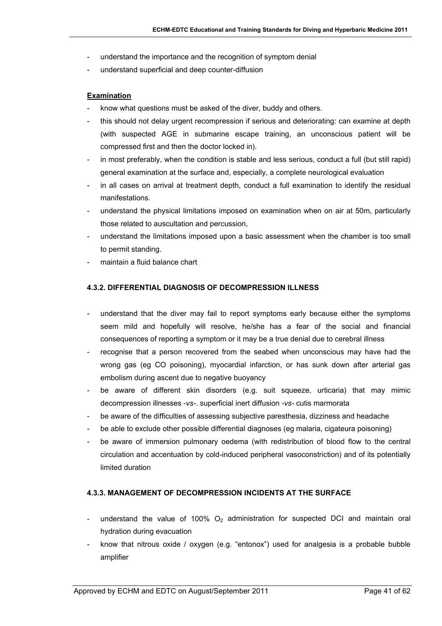- understand the importance and the recognition of symptom denial
- understand superficial and deep counter-diffusion

#### **Examination**

- know what questions must be asked of the diver, buddy and others.
- this should not delay urgent recompression if serious and deteriorating: can examine at depth (with suspected AGE in submarine escape training, an unconscious patient will be compressed first and then the doctor locked in).
- in most preferably, when the condition is stable and less serious, conduct a full (but still rapid) general examination at the surface and, especially, a complete neurological evaluation
- in all cases on arrival at treatment depth, conduct a full examination to identify the residual manifestations.
- understand the physical limitations imposed on examination when on air at 50m, particularly those related to auscultation and percussion,
- understand the limitations imposed upon a basic assessment when the chamber is too small to permit standing.
- maintain a fluid balance chart

#### **4.3.2. DIFFERENTIAL DIAGNOSIS OF DECOMPRESSION ILLNESS**

- understand that the diver may fail to report symptoms early because either the symptoms seem mild and hopefully will resolve, he/she has a fear of the social and financial consequences of reporting a symptom or it may be a true denial due to cerebral illness
- recognise that a person recovered from the seabed when unconscious may have had the wrong gas (eg CO poisoning), myocardial infarction, or has sunk down after arterial gas embolism during ascent due to negative buoyancy
- be aware of different skin disorders (e.g. suit squeeze, urticaria) that may mimic decompression illnesses -*vs-*. superficial inert diffusion *-vs-* cutis marmorata
- be aware of the difficulties of assessing subjective paresthesia, dizziness and headache
- be able to exclude other possible differential diagnoses (eg malaria, cigateura poisoning)
- be aware of immersion pulmonary oedema (with redistribution of blood flow to the central circulation and accentuation by cold-induced peripheral vasoconstriction) and of its potentially limited duration

#### **4.3.3. MANAGEMENT OF DECOMPRESSION INCIDENTS AT THE SURFACE**

- understand the value of 100%  $O<sub>2</sub>$  administration for suspected DCI and maintain oral hydration during evacuation
- know that nitrous oxide / oxygen (e.g. "entonox") used for analgesia is a probable bubble amplifier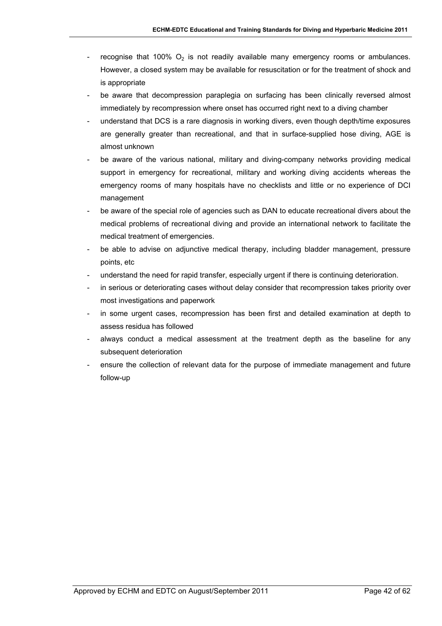- recognise that 100%  $O_2$  is not readily available many emergency rooms or ambulances. However, a closed system may be available for resuscitation or for the treatment of shock and is appropriate
- be aware that decompression paraplegia on surfacing has been clinically reversed almost immediately by recompression where onset has occurred right next to a diving chamber
- understand that DCS is a rare diagnosis in working divers, even though depth/time exposures are generally greater than recreational, and that in surface-supplied hose diving, AGE is almost unknown
- be aware of the various national, military and diving-company networks providing medical support in emergency for recreational, military and working diving accidents whereas the emergency rooms of many hospitals have no checklists and little or no experience of DCI management
- be aware of the special role of agencies such as DAN to educate recreational divers about the medical problems of recreational diving and provide an international network to facilitate the medical treatment of emergencies.
- be able to advise on adjunctive medical therapy, including bladder management, pressure points, etc
- understand the need for rapid transfer, especially urgent if there is continuing deterioration.
- in serious or deteriorating cases without delay consider that recompression takes priority over most investigations and paperwork
- in some urgent cases, recompression has been first and detailed examination at depth to assess residua has followed
- always conduct a medical assessment at the treatment depth as the baseline for any subsequent deterioration
- ensure the collection of relevant data for the purpose of immediate management and future follow-up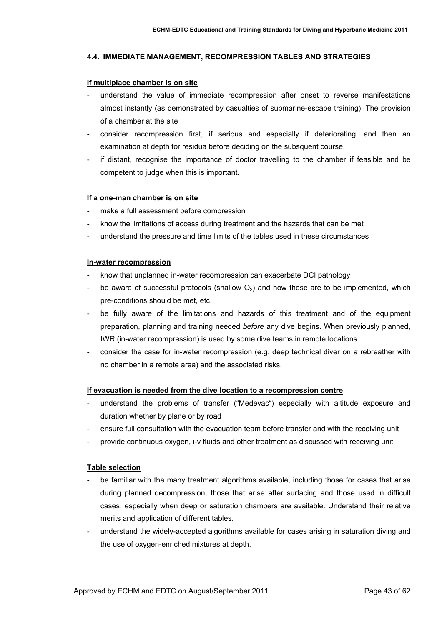#### **4.4. IMMEDIATE MANAGEMENT, RECOMPRESSION TABLES AND STRATEGIES**

#### **If multiplace chamber is on site**

- understand the value of immediate recompression after onset to reverse manifestations almost instantly (as demonstrated by casualties of submarine-escape training). The provision of a chamber at the site
- consider recompression first, if serious and especially if deteriorating, and then an examination at depth for residua before deciding on the subsquent course.
- if distant, recognise the importance of doctor travelling to the chamber if feasible and be competent to judge when this is important.

#### **If a one-man chamber is on site**

- make a full assessment before compression
- know the limitations of access during treatment and the hazards that can be met
- understand the pressure and time limits of the tables used in these circumstances

#### **In-water recompression**

- know that unplanned in-water recompression can exacerbate DCI pathology
- be aware of successful protocols (shallow  $O<sub>2</sub>$ ) and how these are to be implemented, which pre-conditions should be met, etc.
- be fully aware of the limitations and hazards of this treatment and of the equipment preparation, planning and training needed *before* any dive begins. When previously planned, IWR (in-water recompression) is used by some dive teams in remote locations
- consider the case for in-water recompression (e.g. deep technical diver on a rebreather with no chamber in a remote area) and the associated risks.

#### **If evacuation is needed from the dive location to a recompression centre**

- understand the problems of transfer ("Medevac") especially with altitude exposure and duration whether by plane or by road
- ensure full consultation with the evacuation team before transfer and with the receiving unit
- provide continuous oxygen, i-v fluids and other treatment as discussed with receiving unit

#### **Table selection**

- be familiar with the many treatment algorithms available, including those for cases that arise during planned decompression, those that arise after surfacing and those used in difficult cases, especially when deep or saturation chambers are available. Understand their relative merits and application of different tables.
- understand the widely-accepted algorithms available for cases arising in saturation diving and the use of oxygen-enriched mixtures at depth.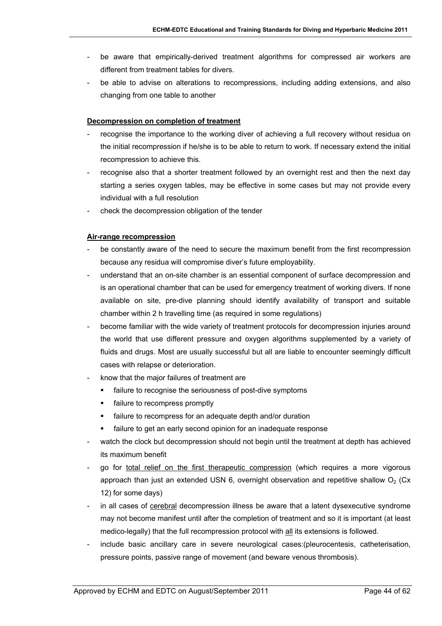- be aware that empirically-derived treatment algorithms for compressed air workers are different from treatment tables for divers.
- be able to advise on alterations to recompressions, including adding extensions, and also changing from one table to another

#### **Decompression on completion of treatment**

- recognise the importance to the working diver of achieving a full recovery without residua on the initial recompression if he/she is to be able to return to work. If necessary extend the initial recompression to achieve this.
- recognise also that a shorter treatment followed by an overnight rest and then the next day starting a series oxygen tables, may be effective in some cases but may not provide every individual with a full resolution
- check the decompression obligation of the tender

#### **Air-range recompression**

- be constantly aware of the need to secure the maximum benefit from the first recompression because any residua will compromise diver's future employability.
- understand that an on-site chamber is an essential component of surface decompression and is an operational chamber that can be used for emergency treatment of working divers. If none available on site, pre-dive planning should identify availability of transport and suitable chamber within 2 h travelling time (as required in some regulations)
- become familiar with the wide variety of treatment protocols for decompression injuries around the world that use different pressure and oxygen algorithms supplemented by a variety of fluids and drugs. Most are usually successful but all are liable to encounter seemingly difficult cases with relapse or deterioration.
- know that the major failures of treatment are
	- failure to recognise the seriousness of post-dive symptoms
	- failure to recompress promptly
	- **failure to recompress for an adequate depth and/or duration**
	- failure to get an early second opinion for an inadequate response
- watch the clock but decompression should not begin until the treatment at depth has achieved its maximum benefit
- go for total relief on the first therapeutic compression (which requires a more vigorous approach than just an extended USN 6, overnight observation and repetitive shallow  $O<sub>2</sub>$  (Cx 12) for some days)
- in all cases of cerebral decompression illness be aware that a latent dysexecutive syndrome may not become manifest until after the completion of treatment and so it is important (at least medico-legally) that the full recompression protocol with all its extensions is followed.
- include basic ancillary care in severe neurological cases: (pleurocentesis, catheterisation, pressure points, passive range of movement (and beware venous thrombosis).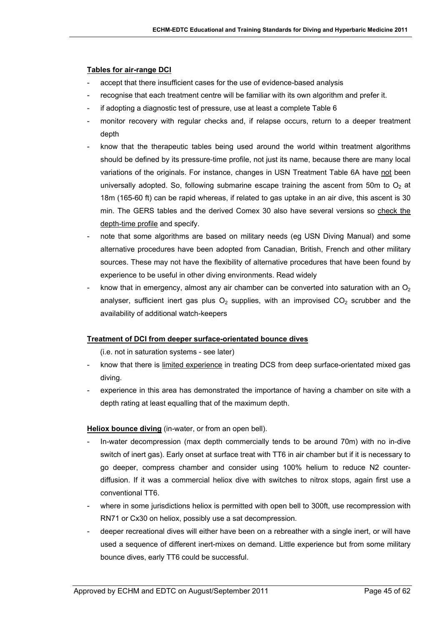### **Tables for air-range DCI**

- accept that there insufficient cases for the use of evidence-based analysis
- recognise that each treatment centre will be familiar with its own algorithm and prefer it.
- if adopting a diagnostic test of pressure, use at least a complete Table 6
- monitor recovery with regular checks and, if relapse occurs, return to a deeper treatment depth
- know that the therapeutic tables being used around the world within treatment algorithms should be defined by its pressure-time profile, not just its name, because there are many local variations of the originals. For instance, changes in USN Treatment Table 6A have not been universally adopted. So, following submarine escape training the ascent from 50m to  $O<sub>2</sub>$  at 18m (165-60 ft) can be rapid whereas, if related to gas uptake in an air dive, this ascent is 30 min. The GERS tables and the derived Comex 30 also have several versions so check the depth-time profile and specify.
- note that some algorithms are based on military needs (eg USN Diving Manual) and some alternative procedures have been adopted from Canadian, British, French and other military sources. These may not have the flexibility of alternative procedures that have been found by experience to be useful in other diving environments. Read widely
- know that in emergency, almost any air chamber can be converted into saturation with an  $O<sub>2</sub>$ analyser, sufficient inert gas plus  $O_2$  supplies, with an improvised  $CO_2$  scrubber and the availability of additional watch-keepers

#### **Treatment of DCI from deeper surface-orientated bounce dives**

(i.e. not in saturation systems - see later)

- know that there is limited experience in treating DCS from deep surface-orientated mixed gas diving.
- experience in this area has demonstrated the importance of having a chamber on site with a depth rating at least equalling that of the maximum depth.

#### **Heliox bounce diving** (in-water, or from an open bell).

- In-water decompression (max depth commercially tends to be around 70m) with no in-dive switch of inert gas). Early onset at surface treat with TT6 in air chamber but if it is necessary to go deeper, compress chamber and consider using 100% helium to reduce N2 counterdiffusion. If it was a commercial heliox dive with switches to nitrox stops, again first use a conventional TT6.
- where in some jurisdictions heliox is permitted with open bell to 300ft, use recompression with RN71 or Cx30 on heliox, possibly use a sat decompression.
- deeper recreational dives will either have been on a rebreather with a single inert, or will have used a sequence of different inert-mixes on demand. Little experience but from some military bounce dives, early TT6 could be successful.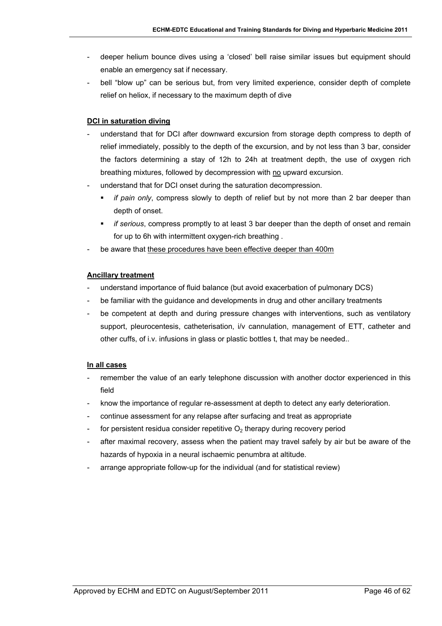- deeper helium bounce dives using a 'closed' bell raise similar issues but equipment should enable an emergency sat if necessary.
- bell "blow up" can be serious but, from very limited experience, consider depth of complete relief on heliox, if necessary to the maximum depth of dive

## **DCI in saturation diving**

- understand that for DCI after downward excursion from storage depth compress to depth of relief immediately, possibly to the depth of the excursion, and by not less than 3 bar, consider the factors determining a stay of 12h to 24h at treatment depth, the use of oxygen rich breathing mixtures, followed by decompression with no upward excursion.
- understand that for DCI onset during the saturation decompression.
	- *if pain only*, compress slowly to depth of relief but by not more than 2 bar deeper than depth of onset.
	- *if serious*, compress promptly to at least 3 bar deeper than the depth of onset and remain for up to 6h with intermittent oxygen-rich breathing .
- be aware that these procedures have been effective deeper than 400m

#### **Ancillary treatment**

- understand importance of fluid balance (but avoid exacerbation of pulmonary DCS)
- be familiar with the guidance and developments in drug and other ancillary treatments
- be competent at depth and during pressure changes with interventions, such as ventilatory support, pleurocentesis, catheterisation, i/v cannulation, management of ETT, catheter and other cuffs, of i.v. infusions in glass or plastic bottles t, that may be needed..

#### **In all cases**

- remember the value of an early telephone discussion with another doctor experienced in this field
- know the importance of regular re-assessment at depth to detect any early deterioration.
- continue assessment for any relapse after surfacing and treat as appropriate
- for persistent residua consider repetitive  $O<sub>2</sub>$  therapy during recovery period
- after maximal recovery, assess when the patient may travel safely by air but be aware of the hazards of hypoxia in a neural ischaemic penumbra at altitude.
- arrange appropriate follow-up for the individual (and for statistical review)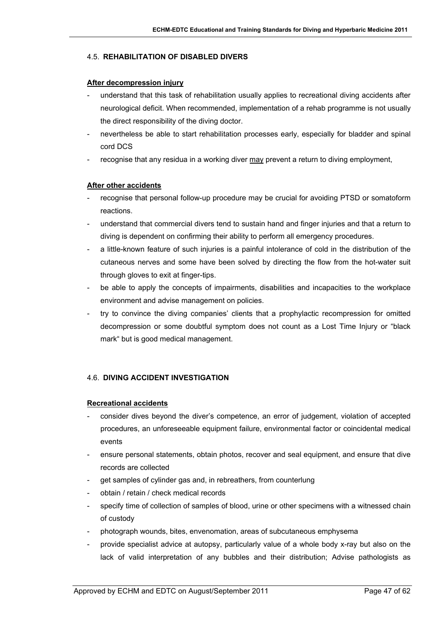#### 4.5. **REHABILITATION OF DISABLED DIVERS**

#### **After decompression injury**

- understand that this task of rehabilitation usually applies to recreational diving accidents after neurological deficit. When recommended, implementation of a rehab programme is not usually the direct responsibility of the diving doctor.
- nevertheless be able to start rehabilitation processes early, especially for bladder and spinal cord DCS
- recognise that any residua in a working diver may prevent a return to diving employment,

#### **After other accidents**

- recognise that personal follow-up procedure may be crucial for avoiding PTSD or somatoform reactions.
- understand that commercial divers tend to sustain hand and finger injuries and that a return to diving is dependent on confirming their ability to perform all emergency procedures.
- a little-known feature of such injuries is a painful intolerance of cold in the distribution of the cutaneous nerves and some have been solved by directing the flow from the hot-water suit through gloves to exit at finger-tips.
- be able to apply the concepts of impairments, disabilities and incapacities to the workplace environment and advise management on policies.
- try to convince the diving companies' clients that a prophylactic recompression for omitted decompression or some doubtful symptom does not count as a Lost Time Injury or "black mark" but is good medical management.

## 4.6. **DIVING ACCIDENT INVESTIGATION**

#### **Recreational accidents**

- consider dives beyond the diver's competence, an error of judgement, violation of accepted procedures, an unforeseeable equipment failure, environmental factor or coincidental medical events
- ensure personal statements, obtain photos, recover and seal equipment, and ensure that dive records are collected
- get samples of cylinder gas and, in rebreathers, from counterlung
- obtain / retain / check medical records
- specify time of collection of samples of blood, urine or other specimens with a witnessed chain of custody
- photograph wounds, bites, envenomation, areas of subcutaneous emphysema
- provide specialist advice at autopsy, particularly value of a whole body x-ray but also on the lack of valid interpretation of any bubbles and their distribution; Advise pathologists as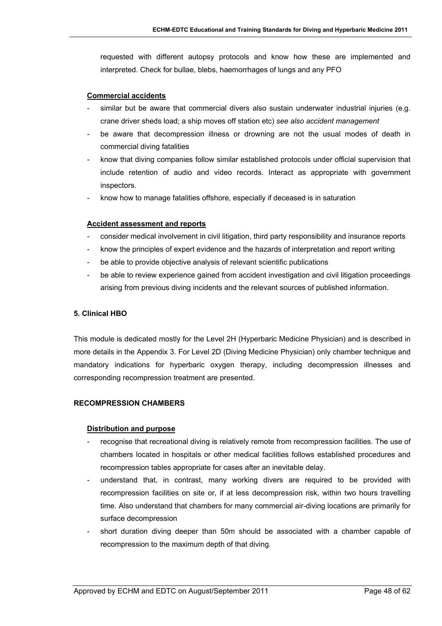requested with different autopsy protocols and know how these are implemented and interpreted. Check for bullae, blebs, haemorrhages of lungs and any PFO

#### **Commercial accidents**

- similar but be aware that commercial divers also sustain underwater industrial injuries (e.g. crane driver sheds load; a ship moves off station etc) *see also accident management*
- be aware that decompression illness or drowning are not the usual modes of death in commercial diving fatalities
- know that diving companies follow similar established protocols under official supervision that include retention of audio and video records. Interact as appropriate with government inspectors.
- know how to manage fatalities offshore, especially if deceased is in saturation

#### **Accident assessment and reports**

- consider medical involvement in civil litigation, third party responsibility and insurance reports
- know the principles of expert evidence and the hazards of interpretation and report writing
- be able to provide objective analysis of relevant scientific publications
- be able to review experience gained from accident investigation and civil litigation proceedings arising from previous diving incidents and the relevant sources of published information.

#### **5. Clinical HBO**

This module is dedicated mostly for the Level 2H (Hyperbaric Medicine Physician) and is described in more details in the Appendix 3. For Level 2D (Diving Medicine Physician) only chamber technique and mandatory indications for hyperbaric oxygen therapy, including decompression illnesses and corresponding recompression treatment are presented.

#### **RECOMPRESSION CHAMBERS**

#### **Distribution and purpose**

- recognise that recreational diving is relatively remote from recompression facilities. The use of chambers located in hospitals or other medical facilities follows established procedures and recompression tables appropriate for cases after an inevitable delay.
- understand that, in contrast, many working divers are required to be provided with recompression facilities on site or, if at less decompression risk, within two hours travelling time. Also understand that chambers for many commercial air-diving locations are primarily for surface decompression
- short duration diving deeper than 50m should be associated with a chamber capable of recompression to the maximum depth of that diving.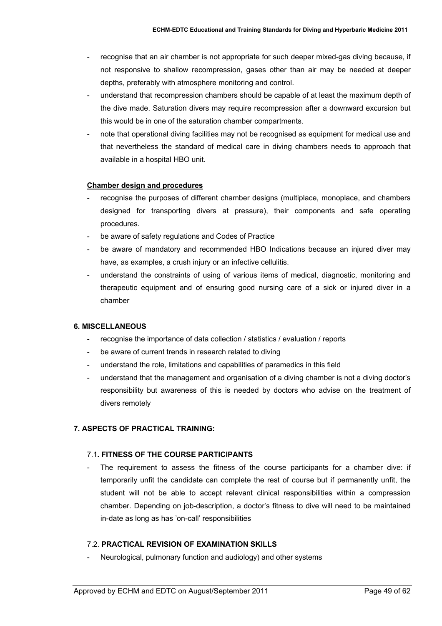- recognise that an air chamber is not appropriate for such deeper mixed-gas diving because, if not responsive to shallow recompression, gases other than air may be needed at deeper depths, preferably with atmosphere monitoring and control.
- understand that recompression chambers should be capable of at least the maximum depth of the dive made. Saturation divers may require recompression after a downward excursion but this would be in one of the saturation chamber compartments.
- note that operational diving facilities may not be recognised as equipment for medical use and that nevertheless the standard of medical care in diving chambers needs to approach that available in a hospital HBO unit.

#### **Chamber design and procedures**

- recognise the purposes of different chamber designs (multiplace, monoplace, and chambers designed for transporting divers at pressure), their components and safe operating procedures.
- be aware of safety regulations and Codes of Practice
- be aware of mandatory and recommended HBO Indications because an injured diver may have, as examples, a crush injury or an infective cellulitis.
- understand the constraints of using of various items of medical, diagnostic, monitoring and therapeutic equipment and of ensuring good nursing care of a sick or injured diver in a chamber

## **6. MISCELLANEOUS**

- recognise the importance of data collection / statistics / evaluation / reports
- be aware of current trends in research related to diving
- understand the role, limitations and capabilities of paramedics in this field
- understand that the management and organisation of a diving chamber is not a diving doctor's responsibility but awareness of this is needed by doctors who advise on the treatment of divers remotely

## **7. ASPECTS OF PRACTICAL TRAINING:**

#### 7.1**. FITNESS OF THE COURSE PARTICIPANTS**

The requirement to assess the fitness of the course participants for a chamber dive: if temporarily unfit the candidate can complete the rest of course but if permanently unfit, the student will not be able to accept relevant clinical responsibilities within a compression chamber. Depending on job-description, a doctor's fitness to dive will need to be maintained in-date as long as has 'on-call' responsibilities

#### 7.2. **PRACTICAL REVISION OF EXAMINATION SKILLS**

Neurological, pulmonary function and audiology) and other systems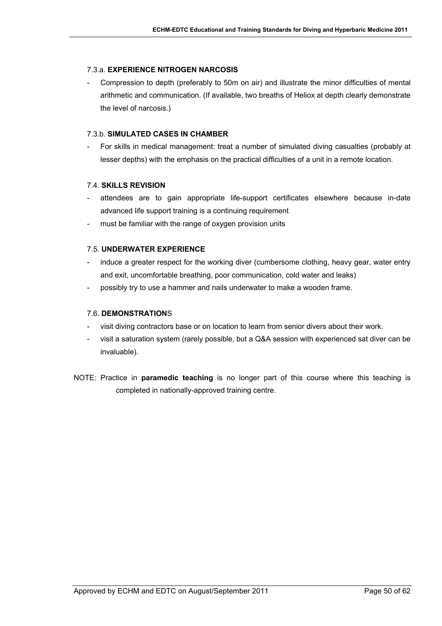## 7.3.a. **EXPERIENCE NITROGEN NARCOSIS**

- Compression to depth (preferably to 50m on air) and illustrate the minor difficulties of mental arithmetic and communication. (If available, two breaths of Heliox at depth clearly demonstrate the level of narcosis.)

### 7.3.b. **SIMULATED CASES IN CHAMBER**

For skills in medical management: treat a number of simulated diving casualties (probably at lesser depths) with the emphasis on the practical difficulties of a unit in a remote location.

## 7.4. **SKILLS REVISION**

- attendees are to gain appropriate life-support certificates elsewhere because in-date advanced life support training is a continuing requirement
- must be familiar with the range of oxygen provision units

## 7.5. **UNDERWATER EXPERIENCE**

- induce a greater respect for the working diver (cumbersome clothing, heavy gear, water entry and exit, uncomfortable breathing, poor communication, cold water and leaks)
- possibly try to use a hammer and nails underwater to make a wooden frame.

### 7.6. **DEMONSTRATION**S

- visit diving contractors base or on location to learn from senior divers about their work.
- visit a saturation system (rarely possible, but a Q&A session with experienced sat diver can be invaluable).
- NOTE: Practice in **paramedic teaching** is no longer part of this course where this teaching is completed in nationally-approved training centre.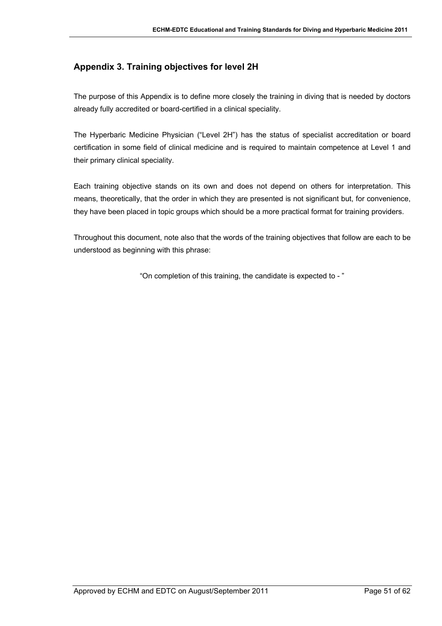# <span id="page-50-0"></span>**Appendix 3. Training objectives for level 2H**

The purpose of this Appendix is to define more closely the training in diving that is needed by doctors already fully accredited or board-certified in a clinical speciality.

The Hyperbaric Medicine Physician ("Level 2H") has the status of specialist accreditation or board certification in some field of clinical medicine and is required to maintain competence at Level 1 and their primary clinical speciality.

Each training objective stands on its own and does not depend on others for interpretation. This means, theoretically, that the order in which they are presented is not significant but, for convenience, they have been placed in topic groups which should be a more practical format for training providers.

Throughout this document, note also that the words of the training objectives that follow are each to be understood as beginning with this phrase:

"On completion of this training, the candidate is expected to - "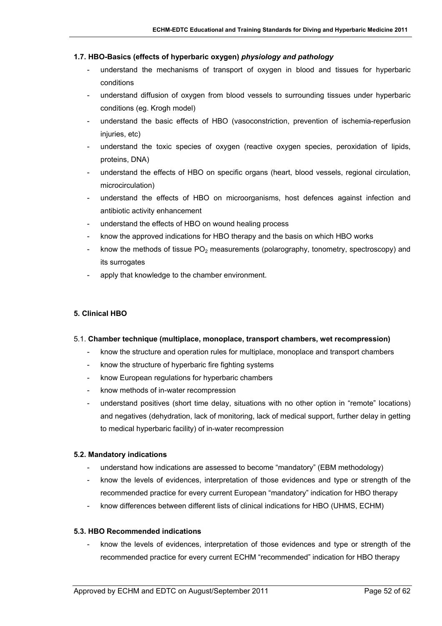#### **1.7. HBO-Basics (effects of hyperbaric oxygen)** *physiology and pathology*

- understand the mechanisms of transport of oxygen in blood and tissues for hyperbaric conditions
- understand diffusion of oxygen from blood vessels to surrounding tissues under hyperbaric conditions (eg. Krogh model)
- understand the basic effects of HBO (vasoconstriction, prevention of ischemia-reperfusion injuries, etc)
- understand the toxic species of oxygen (reactive oxygen species, peroxidation of lipids, proteins, DNA)
- understand the effects of HBO on specific organs (heart, blood vessels, regional circulation, microcirculation)
- understand the effects of HBO on microorganisms, host defences against infection and antibiotic activity enhancement
- understand the effects of HBO on wound healing process
- know the approved indications for HBO therapy and the basis on which HBO works
- know the methods of tissue  $PO<sub>2</sub>$  measurements (polarography, tonometry, spectroscopy) and its surrogates
- apply that knowledge to the chamber environment.

## **5. Clinical HBO**

#### 5.1. **Chamber technique (multiplace, monoplace, transport chambers, wet recompression)**

- know the structure and operation rules for multiplace, monoplace and transport chambers
- know the structure of hyperbaric fire fighting systems
- know European regulations for hyperbaric chambers
- know methods of in-water recompression
- understand positives (short time delay, situations with no other option in "remote" locations) and negatives (dehydration, lack of monitoring, lack of medical support, further delay in getting to medical hyperbaric facility) of in-water recompression

#### **5.2. Mandatory indications**

- understand how indications are assessed to become "mandatory" (EBM methodology)
- know the levels of evidences, interpretation of those evidences and type or strength of the recommended practice for every current European "mandatory" indication for HBO therapy
- know differences between different lists of clinical indications for HBO (UHMS, ECHM)

#### **5.3. HBO Recommended indications**

- know the levels of evidences, interpretation of those evidences and type or strength of the recommended practice for every current ECHM "recommended" indication for HBO therapy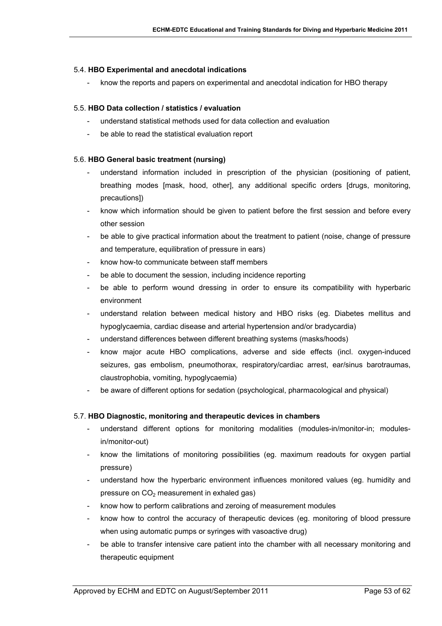#### 5.4. **HBO Experimental and anecdotal indications**

- know the reports and papers on experimental and anecdotal indication for HBO therapy

#### 5.5. **HBO Data collection / statistics / evaluation**

- understand statistical methods used for data collection and evaluation
- be able to read the statistical evaluation report

#### 5.6. **HBO General basic treatment (nursing)**

- understand information included in prescription of the physician (positioning of patient, breathing modes [mask, hood, other], any additional specific orders [drugs, monitoring, precautions])
- know which information should be given to patient before the first session and before every other session
- be able to give practical information about the treatment to patient (noise, change of pressure and temperature, equilibration of pressure in ears)
- know how-to communicate between staff members
- be able to document the session, including incidence reporting
- be able to perform wound dressing in order to ensure its compatibility with hyperbaric environment
- understand relation between medical history and HBO risks (eg. Diabetes mellitus and hypoglycaemia, cardiac disease and arterial hypertension and/or bradycardia)
- understand differences between different breathing systems (masks/hoods)
- know major acute HBO complications, adverse and side effects (incl. oxygen-induced seizures, gas embolism, pneumothorax, respiratory/cardiac arrest, ear/sinus barotraumas, claustrophobia, vomiting, hypoglycaemia)
- be aware of different options for sedation (psychological, pharmacological and physical)

#### 5.7. **HBO Diagnostic, monitoring and therapeutic devices in chambers**

- understand different options for monitoring modalities (modules-in/monitor-in; modulesin/monitor-out)
- know the limitations of monitoring possibilities (eg. maximum readouts for oxygen partial pressure)
- understand how the hyperbaric environment influences monitored values (eg. humidity and pressure on  $CO<sub>2</sub>$  measurement in exhaled gas)
- know how to perform calibrations and zeroing of measurement modules
- know how to control the accuracy of therapeutic devices (eg. monitoring of blood pressure when using automatic pumps or syringes with vasoactive drug)
- be able to transfer intensive care patient into the chamber with all necessary monitoring and therapeutic equipment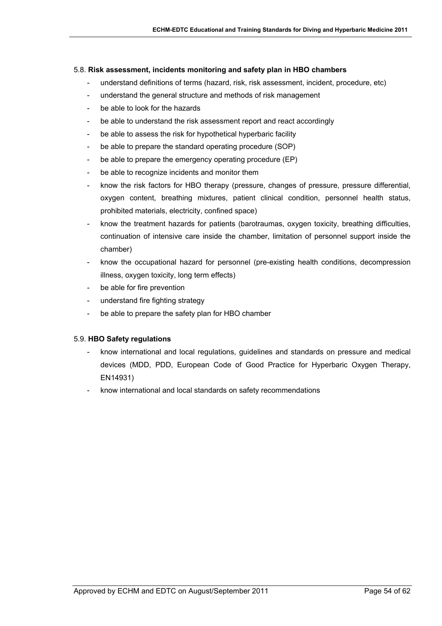#### 5.8. **Risk assessment, incidents monitoring and safety plan in HBO chambers**

- understand definitions of terms (hazard, risk, risk assessment, incident, procedure, etc)
- understand the general structure and methods of risk management
- be able to look for the hazards
- be able to understand the risk assessment report and react accordingly
- be able to assess the risk for hypothetical hyperbaric facility
- be able to prepare the standard operating procedure (SOP)
- be able to prepare the emergency operating procedure (EP)
- be able to recognize incidents and monitor them
- know the risk factors for HBO therapy (pressure, changes of pressure, pressure differential, oxygen content, breathing mixtures, patient clinical condition, personnel health status, prohibited materials, electricity, confined space)
- know the treatment hazards for patients (barotraumas, oxygen toxicity, breathing difficulties, continuation of intensive care inside the chamber, limitation of personnel support inside the chamber)
- know the occupational hazard for personnel (pre-existing health conditions, decompression illness, oxygen toxicity, long term effects)
- be able for fire prevention
- understand fire fighting strategy
- be able to prepare the safety plan for HBO chamber

#### 5.9. **HBO Safety regulations**

- know international and local regulations, guidelines and standards on pressure and medical devices (MDD, PDD, European Code of Good Practice for Hyperbaric Oxygen Therapy, EN14931)
- know international and local standards on safety recommendations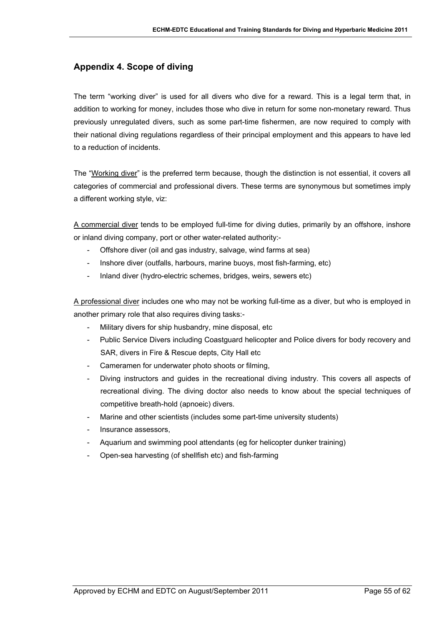## <span id="page-54-0"></span>**Appendix 4. Scope of diving**

The term "working diver" is used for all divers who dive for a reward. This is a legal term that, in addition to working for money, includes those who dive in return for some non-monetary reward. Thus previously unregulated divers, such as some part-time fishermen, are now required to comply with their national diving regulations regardless of their principal employment and this appears to have led to a reduction of incidents.

The "Working diver" is the preferred term because, though the distinction is not essential, it covers all categories of commercial and professional divers. These terms are synonymous but sometimes imply a different working style, viz:

A commercial diver tends to be employed full-time for diving duties, primarily by an offshore, inshore or inland diving company, port or other water-related authority:-

- Offshore diver (oil and gas industry, salvage, wind farms at sea)
- Inshore diver (outfalls, harbours, marine buoys, most fish-farming, etc)
- Inland diver (hydro-electric schemes, bridges, weirs, sewers etc)

A professional diver includes one who may not be working full-time as a diver, but who is employed in another primary role that also requires diving tasks:-

- Military divers for ship husbandry, mine disposal, etc.
- Public Service Divers including Coastguard helicopter and Police divers for body recovery and SAR, divers in Fire & Rescue depts, City Hall etc
- Cameramen for underwater photo shoots or filming,
- Diving instructors and guides in the recreational diving industry. This covers all aspects of recreational diving. The diving doctor also needs to know about the special techniques of competitive breath-hold (apnoeic) divers.
- Marine and other scientists (includes some part-time university students)
- Insurance assessors,
- Aquarium and swimming pool attendants (eg for helicopter dunker training)
- Open-sea harvesting (of shellfish etc) and fish-farming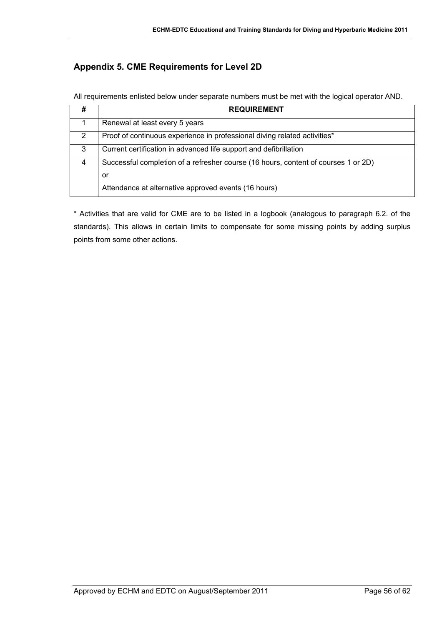# <span id="page-55-0"></span>**Appendix 5. CME Requirements for Level 2D**

All requirements enlisted below under separate numbers must be met with the logical operator AND.

| # | <b>REQUIREMENT</b>                                                                 |
|---|------------------------------------------------------------------------------------|
|   | Renewal at least every 5 years                                                     |
|   | Proof of continuous experience in professional diving related activities*          |
| 3 | Current certification in advanced life support and defibrillation                  |
| 4 | Successful completion of a refresher course (16 hours, content of courses 1 or 2D) |
|   | or                                                                                 |
|   | Attendance at alternative approved events (16 hours)                               |

\* Activities that are valid for CME are to be listed in a logbook (analogous to paragraph 6.2. of the standards). This allows in certain limits to compensate for some missing points by adding surplus points from some other actions.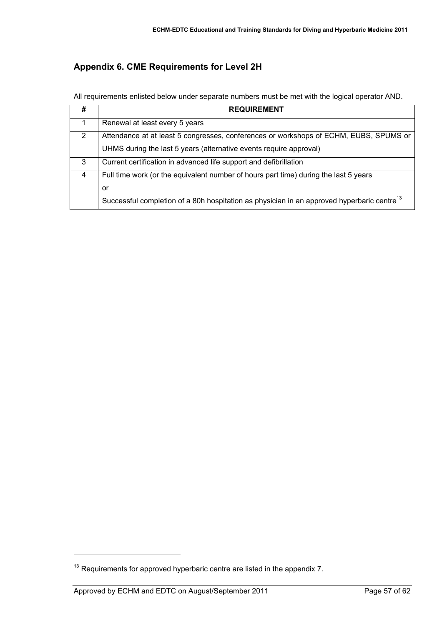# <span id="page-56-0"></span>**Appendix 6. CME Requirements for Level 2H**

All requirements enlisted below under separate numbers must be met with the logical operator AND.

| #              | <b>REQUIREMENT</b>                                                                                     |
|----------------|--------------------------------------------------------------------------------------------------------|
| 1              | Renewal at least every 5 years                                                                         |
| $\overline{2}$ | Attendance at at least 5 congresses, conferences or workshops of ECHM, EUBS, SPUMS or                  |
|                | UHMS during the last 5 years (alternative events require approval)                                     |
| 3              | Current certification in advanced life support and defibrillation                                      |
| 4              | Full time work (or the equivalent number of hours part time) during the last 5 years                   |
|                | or                                                                                                     |
|                | Successful completion of a 80h hospitation as physician in an approved hyperbaric centre <sup>13</sup> |

l

 $13$  Requirements for approved hyperbaric centre are listed in the appendix 7.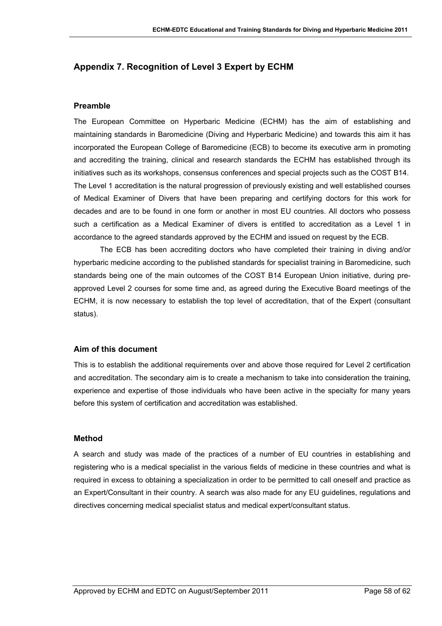## <span id="page-57-0"></span>**Appendix 7. Recognition of Level 3 Expert by ECHM**

#### **Preamble**

The European Committee on Hyperbaric Medicine (ECHM) has the aim of establishing and maintaining standards in Baromedicine (Diving and Hyperbaric Medicine) and towards this aim it has incorporated the European College of Baromedicine (ECB) to become its executive arm in promoting and accrediting the training, clinical and research standards the ECHM has established through its initiatives such as its workshops, consensus conferences and special projects such as the COST B14. The Level 1 accreditation is the natural progression of previously existing and well established courses of Medical Examiner of Divers that have been preparing and certifying doctors for this work for decades and are to be found in one form or another in most EU countries. All doctors who possess such a certification as a Medical Examiner of divers is entitled to accreditation as a Level 1 in accordance to the agreed standards approved by the ECHM and issued on request by the ECB.

The ECB has been accrediting doctors who have completed their training in diving and/or hyperbaric medicine according to the published standards for specialist training in Baromedicine, such standards being one of the main outcomes of the COST B14 European Union initiative, during preapproved Level 2 courses for some time and, as agreed during the Executive Board meetings of the ECHM, it is now necessary to establish the top level of accreditation, that of the Expert (consultant status).

#### **Aim of this document**

This is to establish the additional requirements over and above those required for Level 2 certification and accreditation. The secondary aim is to create a mechanism to take into consideration the training, experience and expertise of those individuals who have been active in the specialty for many years before this system of certification and accreditation was established.

#### **Method**

A search and study was made of the practices of a number of EU countries in establishing and registering who is a medical specialist in the various fields of medicine in these countries and what is required in excess to obtaining a specialization in order to be permitted to call oneself and practice as an Expert/Consultant in their country. A search was also made for any EU guidelines, regula[tions and](#page-58-0) directives concerning medical specialist status and medical expert/consultant status.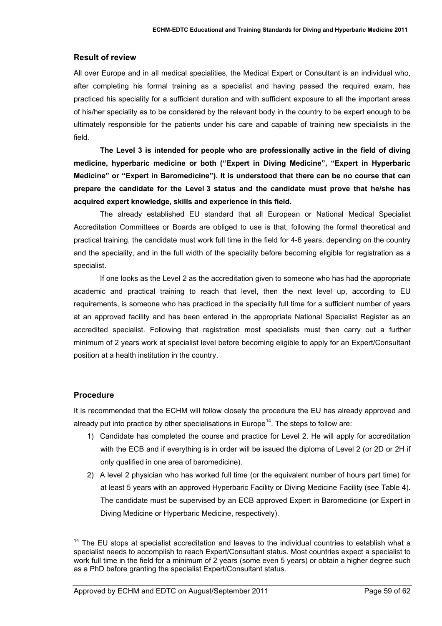#### **Result of review**

<span id="page-58-0"></span>All over Europe and in all medical specialities, the Medical Expert or Consultant is an individual who, after completing his formal training as a specialist and having passed the required exam, has practiced his speciality for a sufficient duration and with sufficient exposure to all the important areas of his/her speciality as to be considered by the relevant body in the country to be expert enough to be ultimately responsible for the patients under his care and capable of training new specialists in the field.

**The Level 3 is intended for people who are professionally active in the field of diving medicine, hyperbaric medicine or both ("Expert in Diving Medicine", "Expert in Hyperbaric Medicine" or "Expert in Baromedicine"). It is understood that there can be no course that can prepare the candidate for the Level 3 status and the candidate must prove that he/she has acquired expert knowledge, skills and experience in this field.** 

The already established EU standard that all European or National [Medica](#page-58-1)l Specialist Accreditation Committees or Boards are obliged to use is that, following the formal theoretical and practical training, the candidate must work full time in the field for 4-6 years, depending on the country and the speciality, and in the full width of the speciality before becoming eligible for registration as a specialist.

<span id="page-58-1"></span>If one l[ook](#page-58-2)s as the Level 2 as the accreditation given to someone who has had the appropriate academic and practical training to reach that level, then the next level up, according to EU requirements, is someone who has practiced in the speciality full time for a sufficient number of years at an approved facility and has been entered in the appropriate National Specialist Register as an accredited specialist. Following that registration most specialists must then carry out a further minimum of 2 years work at specialist level before becoming eligible to apply for an Expert/Consultant position at a health institution in the country.

## **Procedure**

l

It is recommended that the ECHM will follow closely the procedure the EU has already approved and already put into practice by other specialisations in Europe<sup>14</sup>. The steps to follow are:

- 1) Candidate has completed the course and practice for Level 2. He will apply for accreditation with the ECB and if everything is in order will be issued the diploma of Level 2 (or 2D or 2H if only qualified in one area of baromedicine).
- 2) A level 2 physician who has worked full time (or the equivalent number of hours part time) for at least 5 years with an approved Hyperbaric Facility or Diving Medicine Facility (see Table 4). The candidate must be supervised by an ECB approved Expert in Baromedicine (or Expert in Diving Medicine or Hyperbaric Medicine, respectively).

<span id="page-58-3"></span><span id="page-58-2"></span> $14$  The EU stops at specialist accreditation and leaves to the individual countries to establish what a specialist needs to accomplish to reach Expert/Consultant status. Most countries expect a specialist to work full time in the field for a minimum of 2 years (some even 5 years) or obtain a higher degree such as a PhD before granting the specialist Expert/Consultant status.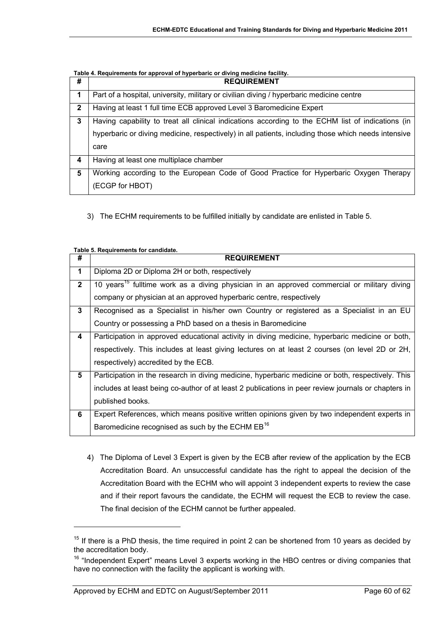**Table 4. Requirements for approval of hyperbaric or diving medicine facility.** 

<span id="page-59-0"></span>

| #            | <b>REQUIREMENT</b>                                                                                  |
|--------------|-----------------------------------------------------------------------------------------------------|
| 1            | Part of a hospital, university, military or civilian diving / hyperbaric medicine centre            |
| $\mathbf{2}$ | Having at least 1 full time ECB approved Level 3 Baromedicine Expert                                |
| 3            | Having capability to treat all clinical indications according to the ECHM list of indications (in   |
|              | hyperbaric or diving medicine, respectively) in all patients, including those which needs intensive |
|              | care                                                                                                |
| 4            | Having at least one multiplace chamber                                                              |
| 5            | Working according to the European Code of Good Practice for Hyperbaric Oxygen Therapy               |
|              | (ECGP for HBOT)                                                                                     |

3) The ECHM requirements to be fulfilled initially by candidate are enlisted in Table 5.

|                      | rable 5. Reguliements for candidate.                                                                    |
|----------------------|---------------------------------------------------------------------------------------------------------|
| #                    | <b>REQUIREMENT</b>                                                                                      |
| $\blacktriangleleft$ | Diploma 2D or Diploma 2H or both, respectively                                                          |
| $\mathbf{2}$         | 10 years <sup>15</sup> fulltime work as a diving physician in an approved commercial or military diving |
|                      | company or physician at an approved hyperbaric centre, respectively                                     |
| 3                    | Recognised as a Specialist in his/her own Country or registered as a Specialist in an EU                |
|                      | Country or possessing a PhD based on a thesis in Baromedicine                                           |
| 4                    | Participation in approved educational activity in diving medicine, hyperbaric medicine or both,         |
|                      | respectively. This includes at least giving lectures on at least 2 courses (on level 2D or 2H,          |
|                      | respectively) accredited by the ECB.                                                                    |
| 5                    | Participation in the research in diving medicine, hyperbaric medicine or both, respectively. This       |
|                      | includes at least being co-author of at least 2 publications in peer review journals or chapters in     |
|                      | published books.                                                                                        |
| 6                    | Expert References, which means positive written opinions given by two independent experts in            |
|                      | Baromedicine recognised as such by the ECHM EB <sup>16</sup>                                            |

**Table 5. Requirements for candidate.** 

l

4) The Diploma of Level 3 Expert is given by the ECB after review of the application by the ECB Accreditation Board. An unsuccessful candidate has the right to appeal the decision of the Accreditation Board with the ECHM who will appoint 3 independent experts to review the case and if their report favours the candidate, the ECHM will request the ECB to review the case. The final decision of the ECHM cannot be further appealed.

 $15$  If there is a PhD thesis, the time required in point 2 can be shortened from 10 years as decided by the accreditation body.

<sup>&</sup>lt;sup>16</sup> "Independent Expert" means Level 3 experts working in the HBO centres or diving companies that have no connection with the facility the applicant is working with.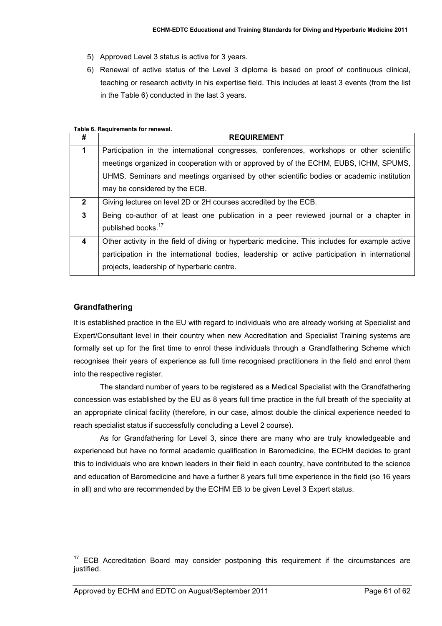- 5) Approved Level 3 status is active for 3 years.
- 6) Renewal of active status of the Level 3 diploma is based on proof of continuous clinical, teaching or research activity in his expertise field. This includes at least 3 events (from the list in the Table 6) conducted in the last 3 years.

#### **Table 6. Requirements for renewal.**

| #            | <b>REQUIREMENT</b>                                                                             |
|--------------|------------------------------------------------------------------------------------------------|
| 1            | Participation in the international congresses, conferences, workshops or other scientific      |
|              | meetings organized in cooperation with or approved by of the ECHM, EUBS, ICHM, SPUMS,          |
|              | UHMS. Seminars and meetings organised by other scientific bodies or academic institution       |
|              | may be considered by the ECB.                                                                  |
| $\mathbf{2}$ | Giving lectures on level 2D or 2H courses accredited by the ECB.                               |
| $\mathbf{3}$ | Being co-author of at least one publication in a peer reviewed journal or a chapter in         |
|              | published books. <sup>17</sup>                                                                 |
| 4            | Other activity in the field of diving or hyperbaric medicine. This includes for example active |
|              | participation in the international bodies, leadership or active participation in international |
|              | projects, leadership of hyperbaric centre.                                                     |

## **Grandfathering**

 $\overline{a}$ 

It is established practice in the EU with regard to individuals who are already working at Specialist and Expert/Consultant level in their country when new Accreditation and Specialist Training systems are formally set up for the first time to enrol these individuals through a Grandfathering Scheme which recognises their years of experience as full time recognised practitioners in the field and enrol them into the respective register.

The standard number of years to be registered as a Medical Specialist with the Grandfathering concession was established by the EU as 8 years full time practice in the full breath of the speciality at an appropriate clinical facility (therefore, in our case, almost double the clinical experience needed to reach specialist status if successfully concluding a Level 2 course).

As for Grandfathering for Level 3, since there are many who are truly knowledgeable and experienced but have no formal academic qualification in Baromedicine, the ECHM decides to grant this to individuals who are known leaders in their field in each country, have contributed to the science and education of Baromedicine and have a further 8 years full time experience in the field (so 16 years in all) and who are recommended by the ECHM EB to be given Level 3 Expert status.

 $17$  ECB Accreditation Board may consider postponing this requirement if the circumstances are justified.